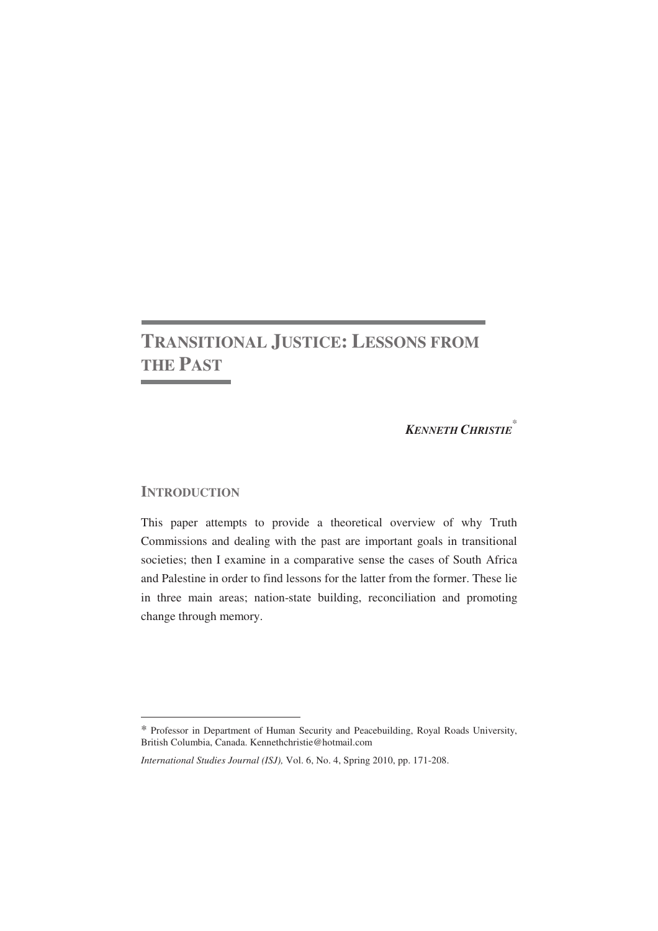# **TRANSITIONAL JUSTICE: LESSONS FROM THE PAST**

*KENNETH CHRISTIE\**

# **INTRODUCTION**

This paper attempts to provide a theoretical overview of why Truth Commissions and dealing with the past are important goals in transitional societies; then I examine in a comparative sense the cases of South Africa and Palestine in order to find lessons for the latter from the former. These lie in three main areas; nation-state building, reconciliation and promoting change through memory.

<sup>\*</sup> Professor in Department of Human Security and Peacebuilding, Royal Roads University, British Columbia, Canada. Kennethchristie@hotmail.com

*International Studies Journal (ISJ),* Vol. 6, No. 4, Spring 2010, pp. 171-208.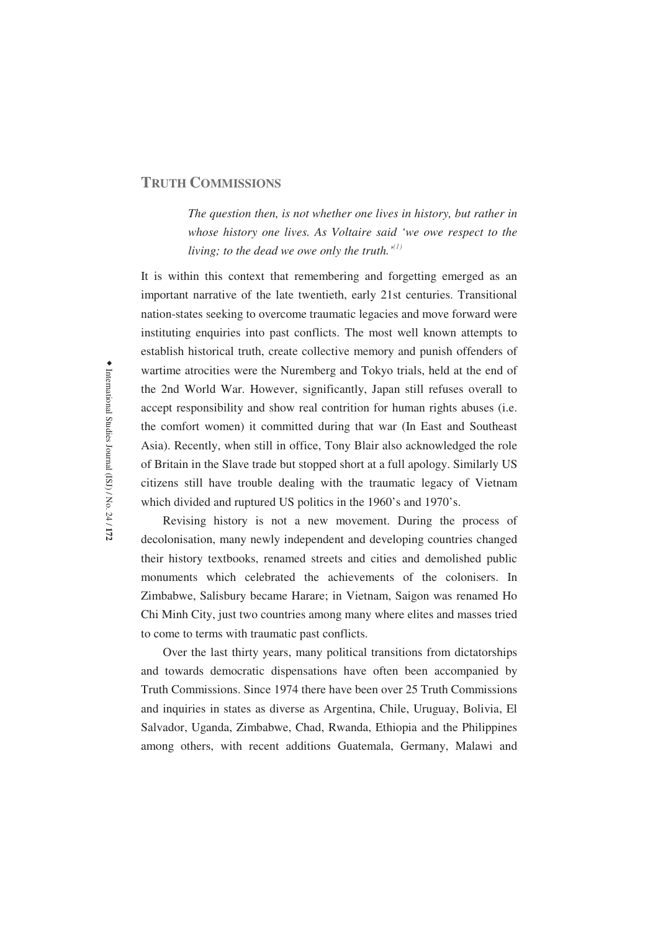# **TRUTH COMMISSIONS**

*The question then, is not whether one lives in history, but rather in whose history one lives. As Voltaire said 'we owe respect to the living; to the dead we owe only the truth.'(1)*

It is within this context that remembering and forgetting emerged as an important narrative of the late twentieth, early 21st centuries. Transitional nation-states seeking to overcome traumatic legacies and move forward were instituting enquiries into past conflicts. The most well known attempts to establish historical truth, create collective memory and punish offenders of wartime atrocities were the Nuremberg and Tokyo trials, held at the end of the 2nd World War. However, significantly, Japan still refuses overall to accept responsibility and show real contrition for human rights abuses (i.e. the comfort women) it committed during that war (In East and Southeast Asia). Recently, when still in office, Tony Blair also acknowledged the role of Britain in the Slave trade but stopped short at a full apology. Similarly US citizens still have trouble dealing with the traumatic legacy of Vietnam which divided and ruptured US politics in the 1960's and 1970's.

Revising history is not a new movement. During the process of decolonisation, many newly independent and developing countries changed their history textbooks, renamed streets and cities and demolished public monuments which celebrated the achievements of the colonisers. In Zimbabwe, Salisbury became Harare; in Vietnam, Saigon was renamed Ho Chi Minh City, just two countries among many where elites and masses tried to come to terms with traumatic past conflicts.

Over the last thirty years, many political transitions from dictatorships and towards democratic dispensations have often been accompanied by Truth Commissions. Since 1974 there have been over 25 Truth Commissions and inquiries in states as diverse as Argentina, Chile, Uruguay, Bolivia, El Salvador, Uganda, Zimbabwe, Chad, Rwanda, Ethiopia and the Philippines among others, with recent additions Guatemala, Germany, Malawi and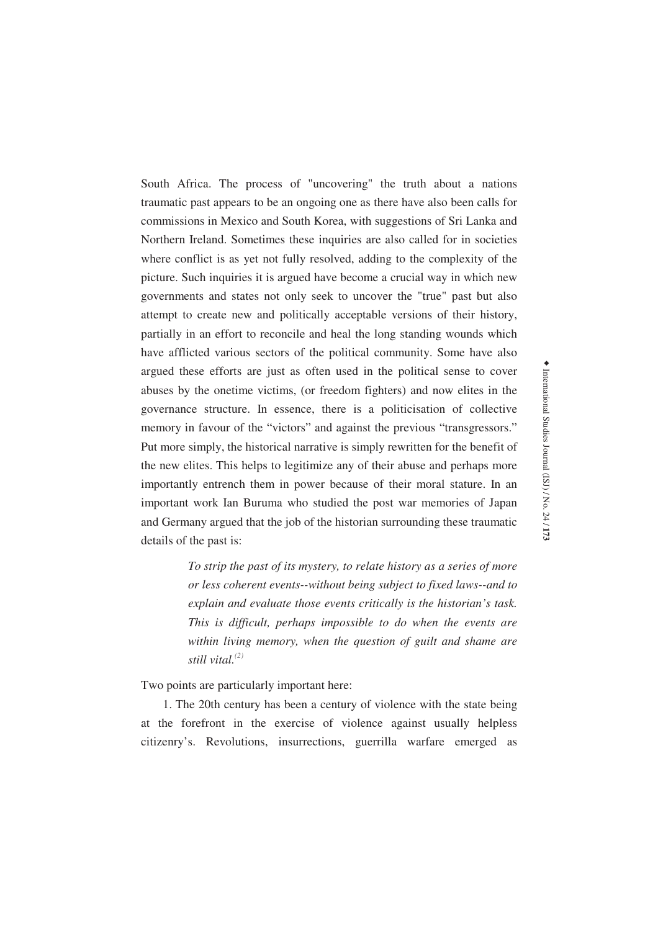South Africa. The process of "uncovering" the truth about a nations traumatic past appears to be an ongoing one as there have also been calls for commissions in Mexico and South Korea, with suggestions of Sri Lanka and Northern Ireland. Sometimes these inquiries are also called for in societies where conflict is as yet not fully resolved, adding to the complexity of the picture. Such inquiries it is argued have become a crucial way in which new governments and states not only seek to uncover the "true" past but also attempt to create new and politically acceptable versions of their history, partially in an effort to reconcile and heal the long standing wounds which have afflicted various sectors of the political community. Some have also argued these efforts are just as often used in the political sense to cover abuses by the onetime victims, (or freedom fighters) and now elites in the governance structure. In essence, there is a politicisation of collective memory in favour of the "victors" and against the previous "transgressors." Put more simply, the historical narrative is simply rewritten for the benefit of the new elites. This helps to legitimize any of their abuse and perhaps more importantly entrench them in power because of their moral stature. In an important work Ian Buruma who studied the post war memories of Japan and Germany argued that the job of the historian surrounding these traumatic details of the past is:

> *To strip the past of its mystery, to relate history as a series of more or less coherent events--without being subject to fixed laws--and to explain and evaluate those events critically is the historian's task. This is difficult, perhaps impossible to do when the events are within living memory, when the question of guilt and shame are still vital.(2)*

Two points are particularly important here:

1. The 20th century has been a century of violence with the state being at the forefront in the exercise of violence against usually helpless citizenry's. Revolutions, insurrections, guerrilla warfare emerged as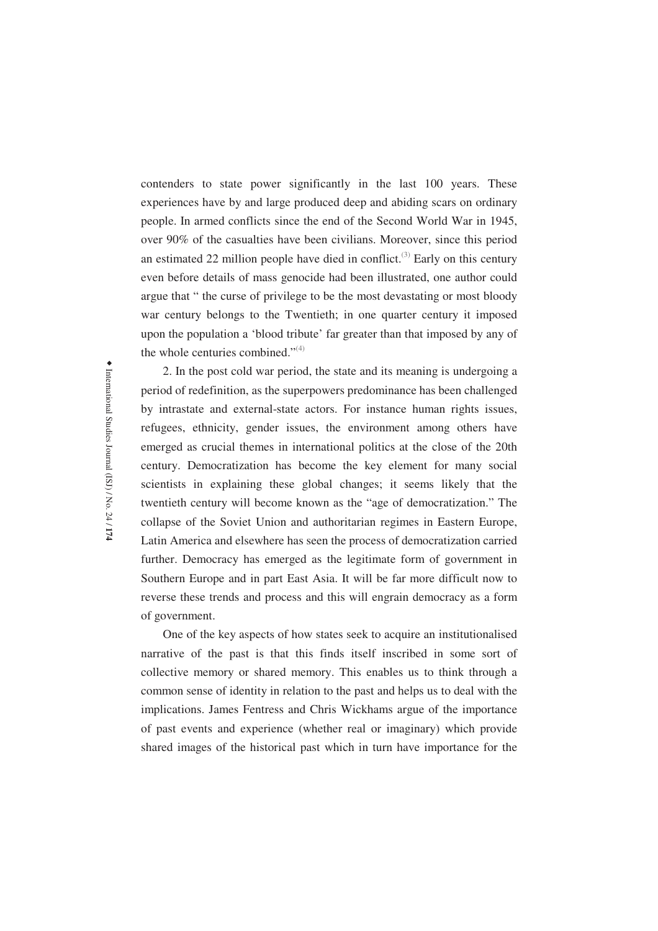contenders to state power significantly in the last 100 years. These experiences have by and large produced deep and abiding scars on ordinary people. In armed conflicts since the end of the Second World War in 1945, over 90% of the casualties have been civilians. Moreover, since this period an estimated 22 million people have died in conflict.<sup> $(3)$ </sup> Early on this century even before details of mass genocide had been illustrated, one author could argue that " the curse of privilege to be the most devastating or most bloody war century belongs to the Twentieth; in one quarter century it imposed upon the population a 'blood tribute' far greater than that imposed by any of the whole centuries combined."<sup>(4)</sup>

2. In the post cold war period, the state and its meaning is undergoing a period of redefinition, as the superpowers predominance has been challenged by intrastate and external-state actors. For instance human rights issues, refugees, ethnicity, gender issues, the environment among others have emerged as crucial themes in international politics at the close of the 20th century. Democratization has become the key element for many social scientists in explaining these global changes; it seems likely that the twentieth century will become known as the "age of democratization." The collapse of the Soviet Union and authoritarian regimes in Eastern Europe, Latin America and elsewhere has seen the process of democratization carried further. Democracy has emerged as the legitimate form of government in Southern Europe and in part East Asia. It will be far more difficult now to reverse these trends and process and this will engrain democracy as a form of government.

One of the key aspects of how states seek to acquire an institutionalised narrative of the past is that this finds itself inscribed in some sort of collective memory or shared memory. This enables us to think through a common sense of identity in relation to the past and helps us to deal with the implications. James Fentress and Chris Wickhams argue of the importance of past events and experience (whether real or imaginary) which provide shared images of the historical past which in turn have importance for the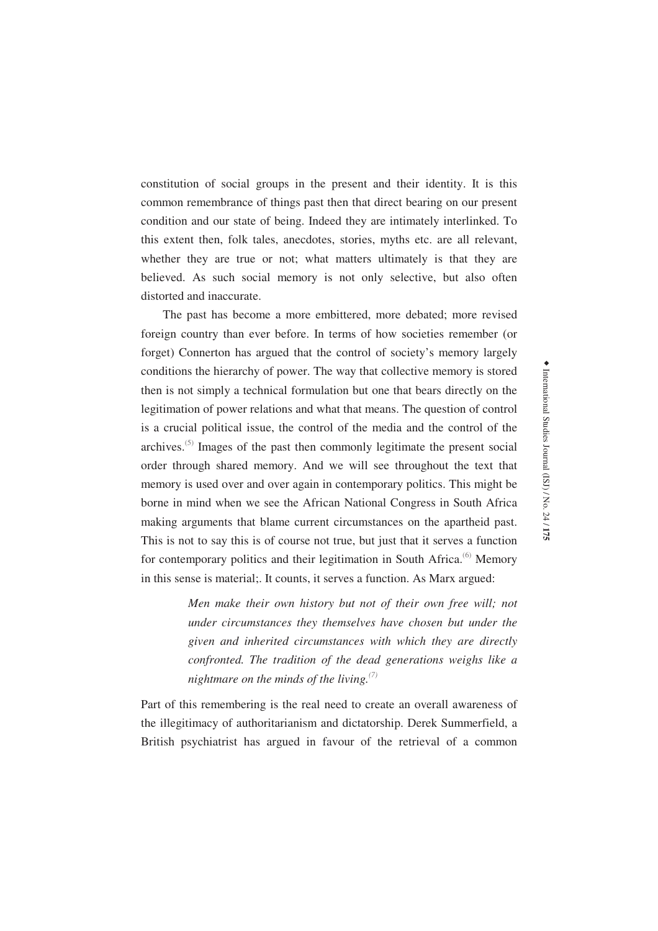constitution of social groups in the present and their identity. It is this common remembrance of things past then that direct bearing on our present condition and our state of being. Indeed they are intimately interlinked. To this extent then, folk tales, anecdotes, stories, myths etc. are all relevant, whether they are true or not; what matters ultimately is that they are believed. As such social memory is not only selective, but also often distorted and inaccurate.

The past has become a more embittered, more debated; more revised foreign country than ever before. In terms of how societies remember (or forget) Connerton has argued that the control of society's memory largely conditions the hierarchy of power. The way that collective memory is stored then is not simply a technical formulation but one that bears directly on the legitimation of power relations and what that means. The question of control is a crucial political issue, the control of the media and the control of the archives.<sup> $(5)$ </sup> Images of the past then commonly legitimate the present social order through shared memory. And we will see throughout the text that memory is used over and over again in contemporary politics. This might be borne in mind when we see the African National Congress in South Africa making arguments that blame current circumstances on the apartheid past. This is not to say this is of course not true, but just that it serves a function for contemporary politics and their legitimation in South Africa.<sup>(6)</sup> Memory in this sense is material;. It counts, it serves a function. As Marx argued:

> *Men make their own history but not of their own free will; not under circumstances they themselves have chosen but under the given and inherited circumstances with which they are directly confronted. The tradition of the dead generations weighs like a nightmare on the minds of the living.(7)*

Part of this remembering is the real need to create an overall awareness of the illegitimacy of authoritarianism and dictatorship. Derek Summerfield, a British psychiatrist has argued in favour of the retrieval of a common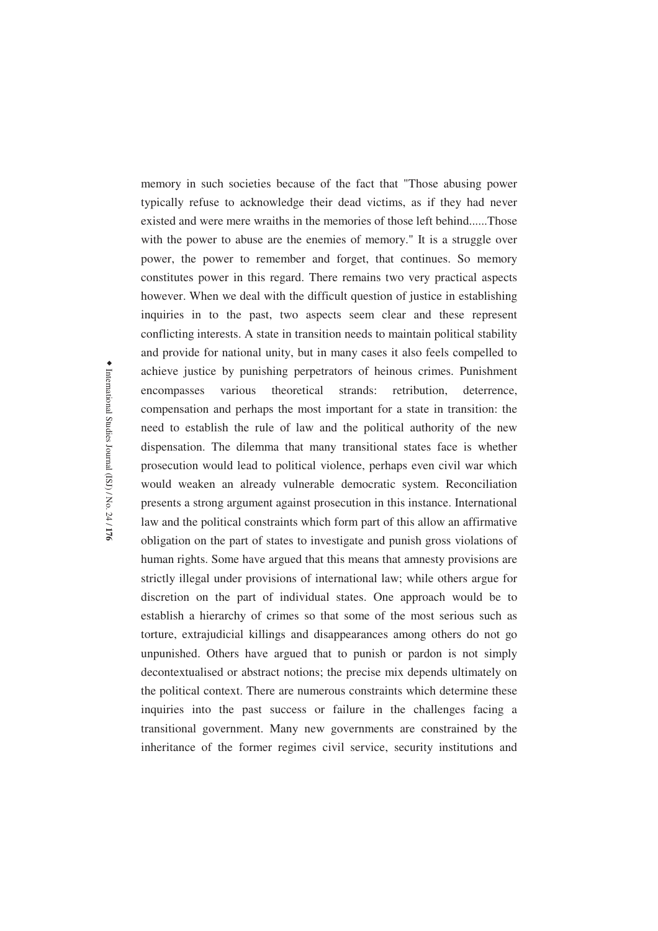٠

memory in such societies because of the fact that "Those abusing power typically refuse to acknowledge their dead victims, as if they had never existed and were mere wraiths in the memories of those left behind......Those with the power to abuse are the enemies of memory." It is a struggle over power, the power to remember and forget, that continues. So memory constitutes power in this regard. There remains two very practical aspects however. When we deal with the difficult question of justice in establishing inquiries in to the past, two aspects seem clear and these represent conflicting interests. A state in transition needs to maintain political stability and provide for national unity, but in many cases it also feels compelled to achieve justice by punishing perpetrators of heinous crimes. Punishment encompasses various theoretical strands: retribution, deterrence, compensation and perhaps the most important for a state in transition: the need to establish the rule of law and the political authority of the new dispensation. The dilemma that many transitional states face is whether prosecution would lead to political violence, perhaps even civil war which would weaken an already vulnerable democratic system. Reconciliation presents a strong argument against prosecution in this instance. International law and the political constraints which form part of this allow an affirmative obligation on the part of states to investigate and punish gross violations of human rights. Some have argued that this means that amnesty provisions are strictly illegal under provisions of international law; while others argue for discretion on the part of individual states. One approach would be to establish a hierarchy of crimes so that some of the most serious such as torture, extrajudicial killings and disappearances among others do not go unpunished. Others have argued that to punish or pardon is not simply decontextualised or abstract notions; the precise mix depends ultimately on the political context. There are numerous constraints which determine these inquiries into the past success or failure in the challenges facing a transitional government. Many new governments are constrained by the inheritance of the former regimes civil service, security institutions and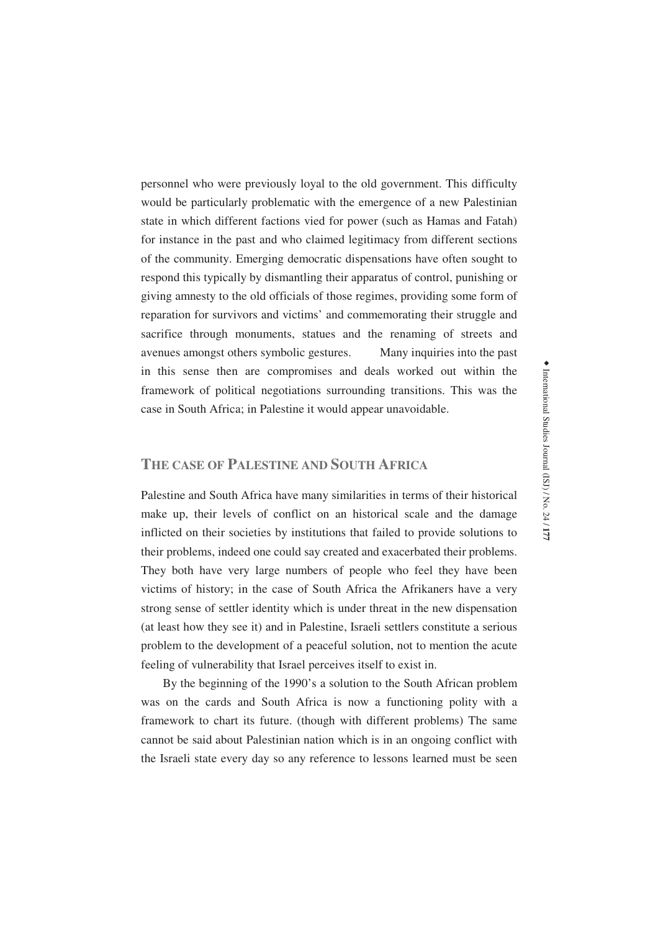personnel who were previously loyal to the old government. This difficulty would be particularly problematic with the emergence of a new Palestinian state in which different factions vied for power (such as Hamas and Fatah) for instance in the past and who claimed legitimacy from different sections of the community. Emerging democratic dispensations have often sought to respond this typically by dismantling their apparatus of control, punishing or giving amnesty to the old officials of those regimes, providing some form of reparation for survivors and victims' and commemorating their struggle and sacrifice through monuments, statues and the renaming of streets and avenues amongst others symbolic gestures. Many inquiries into the past in this sense then are compromises and deals worked out within the framework of political negotiations surrounding transitions. This was the case in South Africa; in Palestine it would appear unavoidable.

# **THE CASE OF PALESTINE AND SOUTH AFRICA**

Palestine and South Africa have many similarities in terms of their historical make up, their levels of conflict on an historical scale and the damage inflicted on their societies by institutions that failed to provide solutions to their problems, indeed one could say created and exacerbated their problems. They both have very large numbers of people who feel they have been victims of history; in the case of South Africa the Afrikaners have a very strong sense of settler identity which is under threat in the new dispensation (at least how they see it) and in Palestine, Israeli settlers constitute a serious problem to the development of a peaceful solution, not to mention the acute feeling of vulnerability that Israel perceives itself to exist in.

By the beginning of the 1990's a solution to the South African problem was on the cards and South Africa is now a functioning polity with a framework to chart its future. (though with different problems) The same cannot be said about Palestinian nation which is in an ongoing conflict with the Israeli state every day so any reference to lessons learned must be seen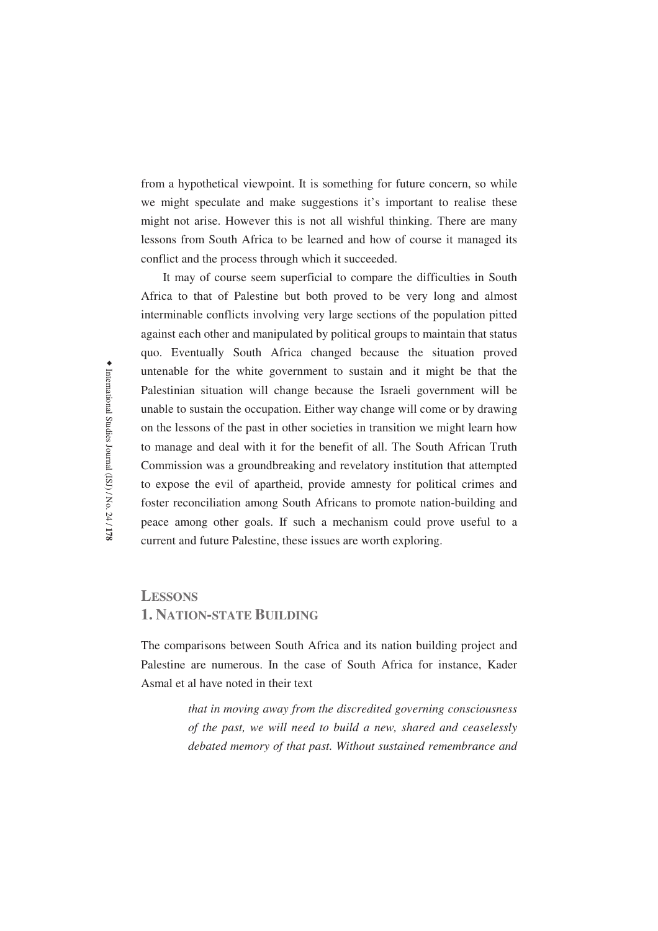from a hypothetical viewpoint. It is something for future concern, so while we might speculate and make suggestions it's important to realise these might not arise. However this is not all wishful thinking. There are many lessons from South Africa to be learned and how of course it managed its conflict and the process through which it succeeded.

It may of course seem superficial to compare the difficulties in South Africa to that of Palestine but both proved to be very long and almost interminable conflicts involving very large sections of the population pitted against each other and manipulated by political groups to maintain that status quo. Eventually South Africa changed because the situation proved untenable for the white government to sustain and it might be that the Palestinian situation will change because the Israeli government will be unable to sustain the occupation. Either way change will come or by drawing on the lessons of the past in other societies in transition we might learn how to manage and deal with it for the benefit of all. The South African Truth Commission was a groundbreaking and revelatory institution that attempted to expose the evil of apartheid, provide amnesty for political crimes and foster reconciliation among South Africans to promote nation-building and peace among other goals. If such a mechanism could prove useful to a current and future Palestine, these issues are worth exploring.

**LESSONS 1. NATION-STATE BUILDING**

The comparisons between South Africa and its nation building project and Palestine are numerous. In the case of South Africa for instance, Kader Asmal et al have noted in their text

> *that in moving away from the discredited governing consciousness of the past, we will need to build a new, shared and ceaselessly debated memory of that past. Without sustained remembrance and*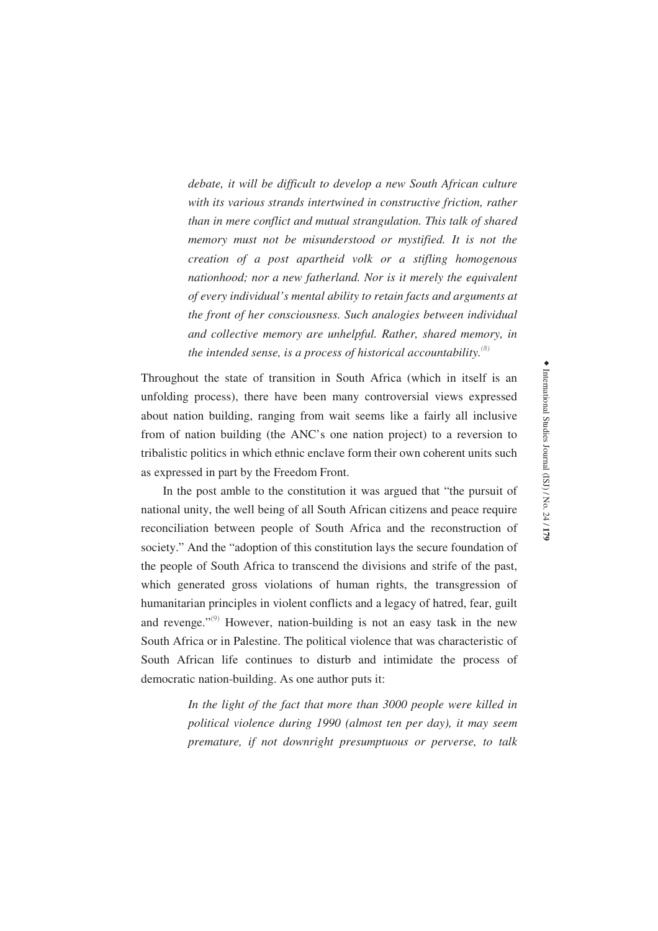*debate, it will be difficult to develop a new South African culture with its various strands intertwined in constructive friction, rather than in mere conflict and mutual strangulation. This talk of shared memory must not be misunderstood or mystified. It is not the creation of a post apartheid volk or a stifling homogenous nationhood; nor a new fatherland. Nor is it merely the equivalent of every individual's mental ability to retain facts and arguments at the front of her consciousness. Such analogies between individual and collective memory are unhelpful. Rather, shared memory, in the intended sense, is a process of historical accountability.(8)*

Throughout the state of transition in South Africa (which in itself is an unfolding process), there have been many controversial views expressed about nation building, ranging from wait seems like a fairly all inclusive from of nation building (the ANC's one nation project) to a reversion to tribalistic politics in which ethnic enclave form their own coherent units such as expressed in part by the Freedom Front.

In the post amble to the constitution it was argued that "the pursuit of national unity, the well being of all South African citizens and peace require reconciliation between people of South Africa and the reconstruction of society." And the "adoption of this constitution lays the secure foundation of the people of South Africa to transcend the divisions and strife of the past, which generated gross violations of human rights, the transgression of humanitarian principles in violent conflicts and a legacy of hatred, fear, guilt and revenge." $(9)$  However, nation-building is not an easy task in the new South Africa or in Palestine. The political violence that was characteristic of South African life continues to disturb and intimidate the process of democratic nation-building. As one author puts it:

> *In the light of the fact that more than 3000 people were killed in political violence during 1990 (almost ten per day), it may seem premature, if not downright presumptuous or perverse, to talk*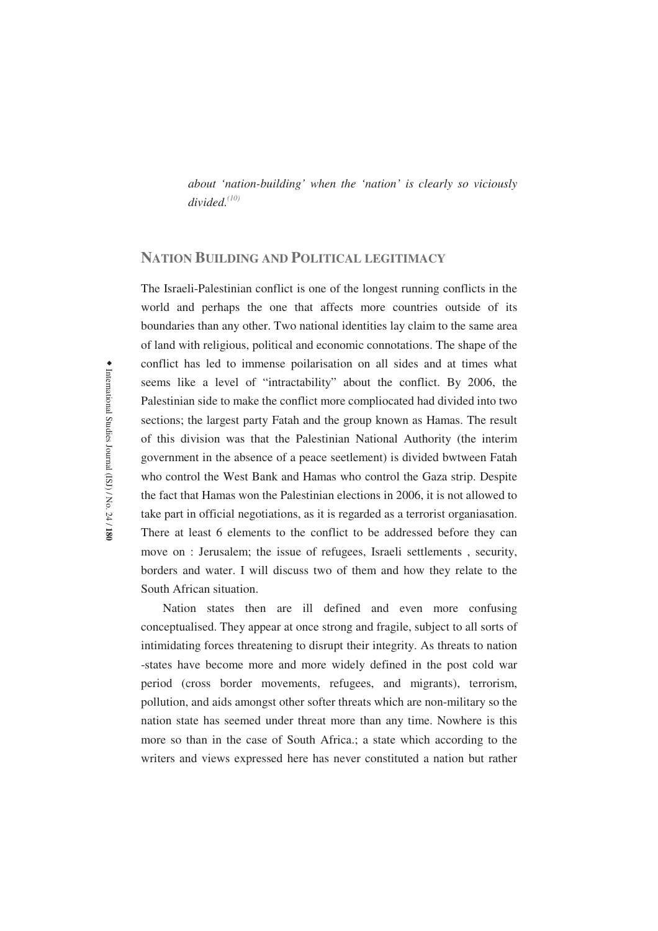*about 'nation-building' when the 'nation' is clearly so viciously divided.(10)*

## **NATION BUILDING AND POLITICAL LEGITIMACY**

The Israeli-Palestinian conflict is one of the longest running conflicts in the world and perhaps the one that affects more countries outside of its boundaries than any other. Two national identities lay claim to the same area of land with religious, political and economic connotations. The shape of the conflict has led to immense poilarisation on all sides and at times what seems like a level of "intractability" about the conflict. By 2006, the Palestinian side to make the conflict more compliocated had divided into two sections; the largest party Fatah and the group known as Hamas. The result of this division was that the Palestinian National Authority (the interim government in the absence of a peace seetlement) is divided bwtween Fatah who control the West Bank and Hamas who control the Gaza strip. Despite the fact that Hamas won the Palestinian elections in 2006, it is not allowed to take part in official negotiations, as it is regarded as a terrorist organiasation. There at least 6 elements to the conflict to be addressed before they can move on : Jerusalem; the issue of refugees, Israeli settlements , security, borders and water. I will discuss two of them and how they relate to the South African situation.

Nation states then are ill defined and even more confusing conceptualised. They appear at once strong and fragile, subject to all sorts of intimidating forces threatening to disrupt their integrity. As threats to nation -states have become more and more widely defined in the post cold war period (cross border movements, refugees, and migrants), terrorism, pollution, and aids amongst other softer threats which are non-military so the nation state has seemed under threat more than any time. Nowhere is this more so than in the case of South Africa.; a state which according to the writers and views expressed here has never constituted a nation but rather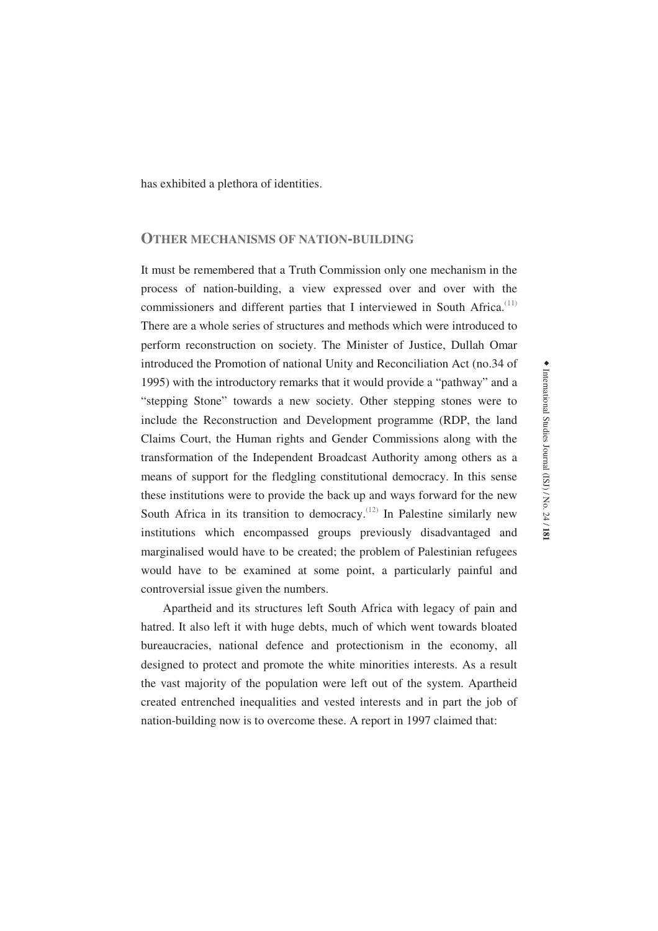has exhibited a plethora of identities.

#### **OTHER MECHANISMS OF NATION-BUILDING**

It must be remembered that a Truth Commission only one mechanism in the process of nation-building, a view expressed over and over with the commissioners and different parties that I interviewed in South Africa. $(11)$ There are a whole series of structures and methods which were introduced to perform reconstruction on society. The Minister of Justice, Dullah Omar introduced the Promotion of national Unity and Reconciliation Act (no.34 of 1995) with the introductory remarks that it would provide a "pathway" and a "stepping Stone" towards a new society. Other stepping stones were to include the Reconstruction and Development programme (RDP, the land Claims Court, the Human rights and Gender Commissions along with the transformation of the Independent Broadcast Authority among others as a means of support for the fledgling constitutional democracy. In this sense these institutions were to provide the back up and ways forward for the new South Africa in its transition to democracy.<sup> $(12)$ </sup> In Palestine similarly new institutions which encompassed groups previously disadvantaged and marginalised would have to be created; the problem of Palestinian refugees would have to be examined at some point, a particularly painful and controversial issue given the numbers.

Apartheid and its structures left South Africa with legacy of pain and hatred. It also left it with huge debts, much of which went towards bloated bureaucracies, national defence and protectionism in the economy, all designed to protect and promote the white minorities interests. As a result the vast majority of the population were left out of the system. Apartheid created entrenched inequalities and vested interests and in part the job of nation-building now is to overcome these. A report in 1997 claimed that: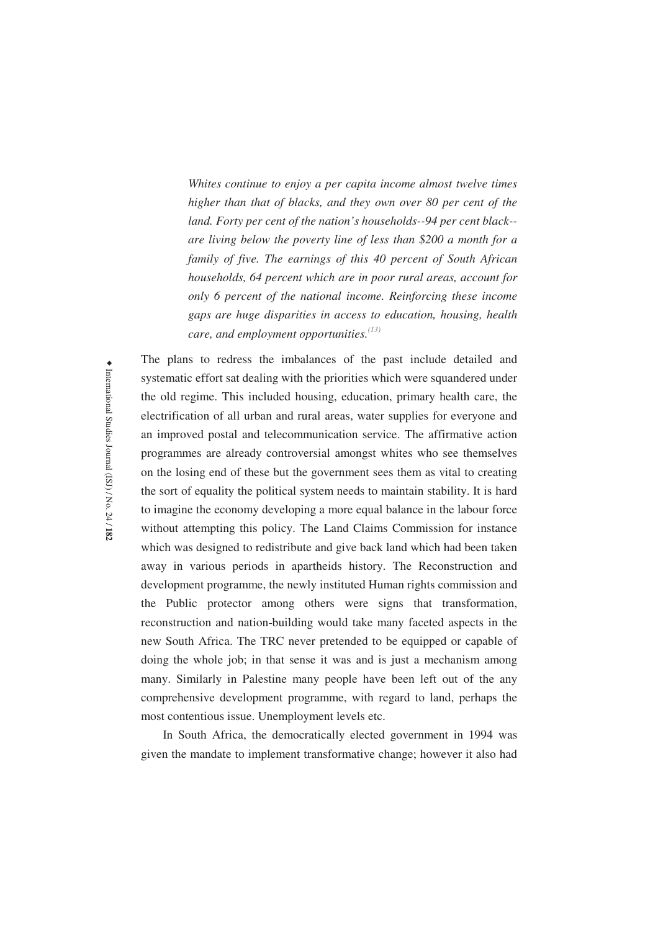*Whites continue to enjoy a per capita income almost twelve times higher than that of blacks, and they own over 80 per cent of the land. Forty per cent of the nation's households--94 per cent black- are living below the poverty line of less than \$200 a month for a family of five. The earnings of this 40 percent of South African households, 64 percent which are in poor rural areas, account for only 6 percent of the national income. Reinforcing these income gaps are huge disparities in access to education, housing, health care, and employment opportunities.(13)*

The plans to redress the imbalances of the past include detailed and systematic effort sat dealing with the priorities which were squandered under the old regime. This included housing, education, primary health care, the electrification of all urban and rural areas, water supplies for everyone and an improved postal and telecommunication service. The affirmative action programmes are already controversial amongst whites who see themselves on the losing end of these but the government sees them as vital to creating the sort of equality the political system needs to maintain stability. It is hard to imagine the economy developing a more equal balance in the labour force without attempting this policy. The Land Claims Commission for instance which was designed to redistribute and give back land which had been taken away in various periods in apartheids history. The Reconstruction and development programme, the newly instituted Human rights commission and the Public protector among others were signs that transformation, reconstruction and nation-building would take many faceted aspects in the new South Africa. The TRC never pretended to be equipped or capable of doing the whole job; in that sense it was and is just a mechanism among many. Similarly in Palestine many people have been left out of the any comprehensive development programme, with regard to land, perhaps the most contentious issue. Unemployment levels etc.

In South Africa, the democratically elected government in 1994 was given the mandate to implement transformative change; however it also had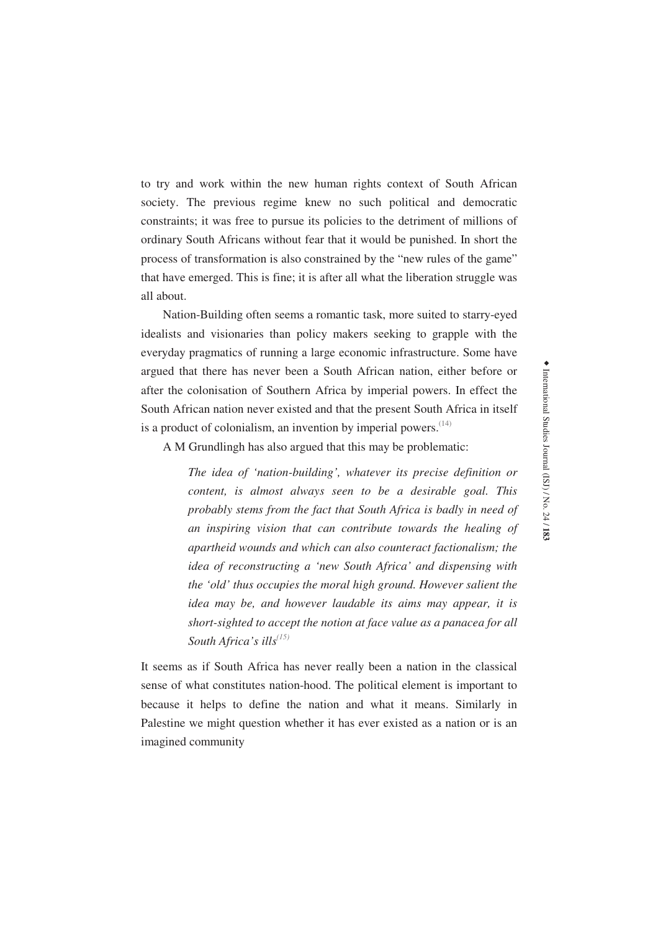to try and work within the new human rights context of South African society. The previous regime knew no such political and democratic constraints; it was free to pursue its policies to the detriment of millions of ordinary South Africans without fear that it would be punished. In short the process of transformation is also constrained by the "new rules of the game" that have emerged. This is fine; it is after all what the liberation struggle was all about.

Nation-Building often seems a romantic task, more suited to starry-eyed idealists and visionaries than policy makers seeking to grapple with the everyday pragmatics of running a large economic infrastructure. Some have argued that there has never been a South African nation, either before or after the colonisation of Southern Africa by imperial powers. In effect the South African nation never existed and that the present South Africa in itself is a product of colonialism, an invention by imperial powers.  $(14)$ 

A M Grundlingh has also argued that this may be problematic:

*The idea of 'nation-building', whatever its precise definition or content, is almost always seen to be a desirable goal. This probably stems from the fact that South Africa is badly in need of an inspiring vision that can contribute towards the healing of apartheid wounds and which can also counteract factionalism; the idea of reconstructing a 'new South Africa' and dispensing with the 'old' thus occupies the moral high ground. However salient the idea may be, and however laudable its aims may appear, it is short-sighted to accept the notion at face value as a panacea for all South Africa's ills(15)*

It seems as if South Africa has never really been a nation in the classical sense of what constitutes nation-hood. The political element is important to because it helps to define the nation and what it means. Similarly in Palestine we might question whether it has ever existed as a nation or is an imagined community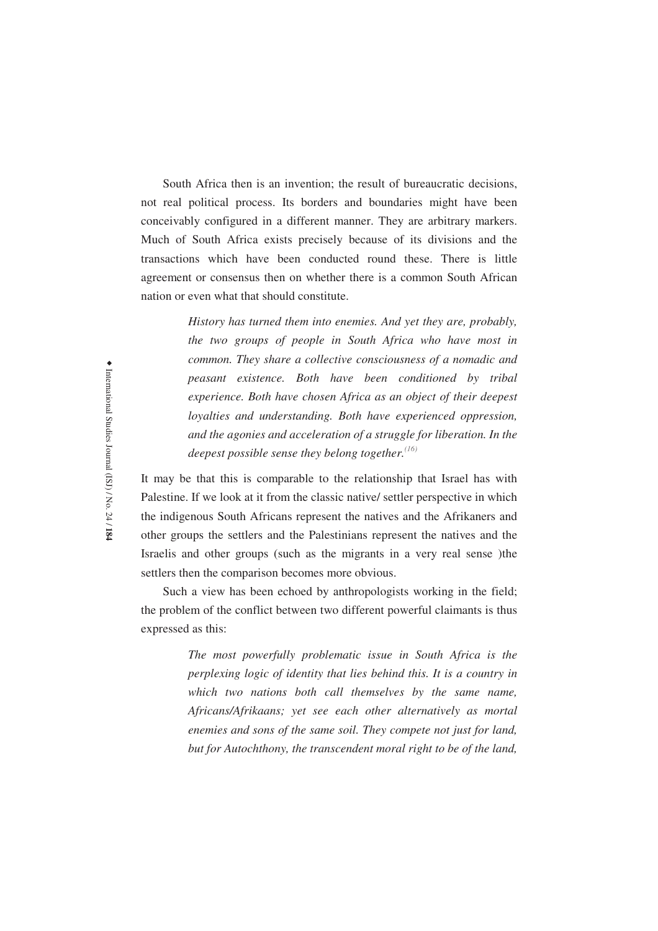South Africa then is an invention; the result of bureaucratic decisions, not real political process. Its borders and boundaries might have been conceivably configured in a different manner. They are arbitrary markers. Much of South Africa exists precisely because of its divisions and the transactions which have been conducted round these. There is little agreement or consensus then on whether there is a common South African nation or even what that should constitute.

> *History has turned them into enemies. And yet they are, probably, the two groups of people in South Africa who have most in common. They share a collective consciousness of a nomadic and peasant existence. Both have been conditioned by tribal experience. Both have chosen Africa as an object of their deepest loyalties and understanding. Both have experienced oppression, and the agonies and acceleration of a struggle for liberation. In the deepest possible sense they belong together.*<sup>(16)</sup>

It may be that this is comparable to the relationship that Israel has with Palestine. If we look at it from the classic native/ settler perspective in which the indigenous South Africans represent the natives and the Afrikaners and other groups the settlers and the Palestinians represent the natives and the Israelis and other groups (such as the migrants in a very real sense )the settlers then the comparison becomes more obvious.

Such a view has been echoed by anthropologists working in the field; the problem of the conflict between two different powerful claimants is thus expressed as this:

> *The most powerfully problematic issue in South Africa is the perplexing logic of identity that lies behind this. It is a country in which two nations both call themselves by the same name, Africans/Afrikaans; yet see each other alternatively as mortal enemies and sons of the same soil. They compete not just for land, but for Autochthony, the transcendent moral right to be of the land,*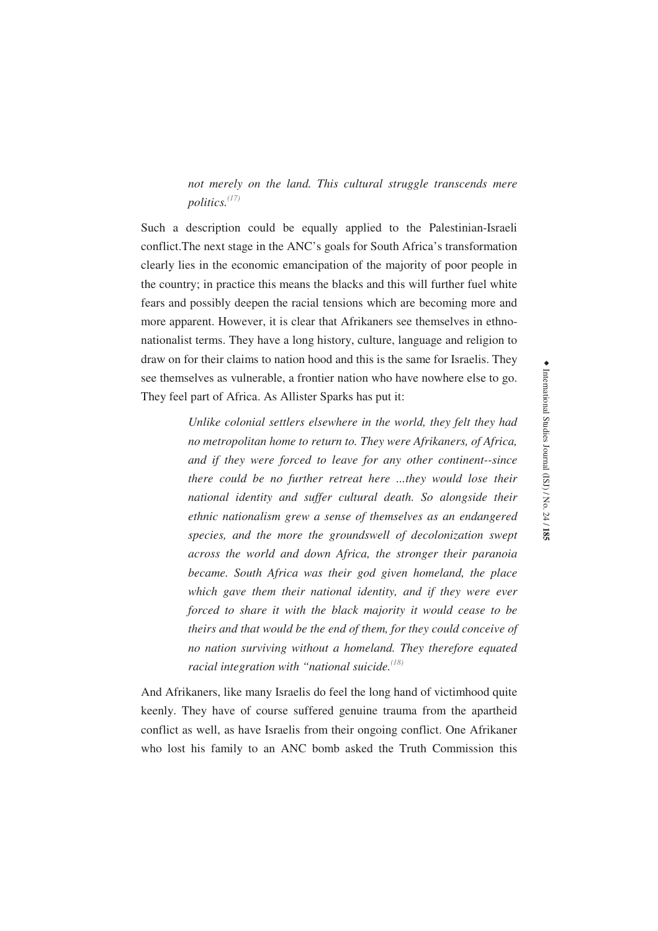*not merely on the land. This cultural struggle transcends mere politics.(17)*

Such a description could be equally applied to the Palestinian-Israeli conflict.The next stage in the ANC's goals for South Africa's transformation clearly lies in the economic emancipation of the majority of poor people in the country; in practice this means the blacks and this will further fuel white fears and possibly deepen the racial tensions which are becoming more and more apparent. However, it is clear that Afrikaners see themselves in ethnonationalist terms. They have a long history, culture, language and religion to draw on for their claims to nation hood and this is the same for Israelis. They see themselves as vulnerable, a frontier nation who have nowhere else to go. They feel part of Africa. As Allister Sparks has put it:

> *Unlike colonial settlers elsewhere in the world, they felt they had no metropolitan home to return to. They were Afrikaners, of Africa, and if they were forced to leave for any other continent--since there could be no further retreat here ...they would lose their national identity and suffer cultural death. So alongside their ethnic nationalism grew a sense of themselves as an endangered species, and the more the groundswell of decolonization swept across the world and down Africa, the stronger their paranoia became. South Africa was their god given homeland, the place which gave them their national identity, and if they were ever forced to share it with the black majority it would cease to be theirs and that would be the end of them, for they could conceive of no nation surviving without a homeland. They therefore equated racial integration with "national suicide.(18)*

And Afrikaners, like many Israelis do feel the long hand of victimhood quite keenly. They have of course suffered genuine trauma from the apartheid conflict as well, as have Israelis from their ongoing conflict. One Afrikaner who lost his family to an ANC bomb asked the Truth Commission this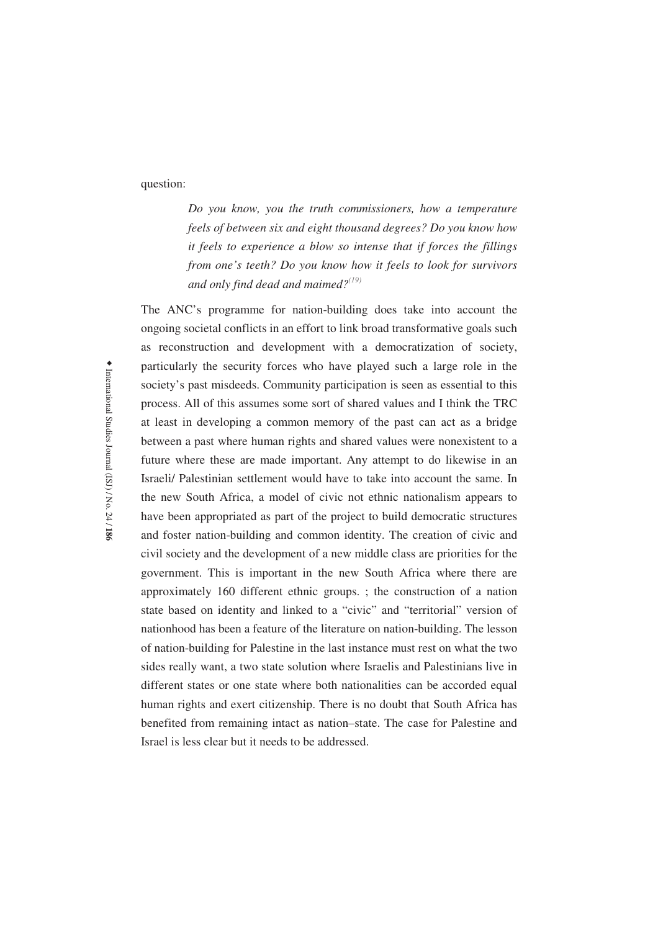#### question:

*Do you know, you the truth commissioners, how a temperature feels of between six and eight thousand degrees? Do you know how it feels to experience a blow so intense that if forces the fillings from one's teeth? Do you know how it feels to look for survivors and only find dead and maimed?(19)*

The ANC's programme for nation-building does take into account the ongoing societal conflicts in an effort to link broad transformative goals such as reconstruction and development with a democratization of society, particularly the security forces who have played such a large role in the society's past misdeeds. Community participation is seen as essential to this process. All of this assumes some sort of shared values and I think the TRC at least in developing a common memory of the past can act as a bridge between a past where human rights and shared values were nonexistent to a future where these are made important. Any attempt to do likewise in an Israeli/ Palestinian settlement would have to take into account the same. In the new South Africa, a model of civic not ethnic nationalism appears to have been appropriated as part of the project to build democratic structures and foster nation-building and common identity. The creation of civic and civil society and the development of a new middle class are priorities for the government. This is important in the new South Africa where there are approximately 160 different ethnic groups. ; the construction of a nation state based on identity and linked to a "civic" and "territorial" version of nationhood has been a feature of the literature on nation-building. The lesson of nation-building for Palestine in the last instance must rest on what the two sides really want, a two state solution where Israelis and Palestinians live in different states or one state where both nationalities can be accorded equal human rights and exert citizenship. There is no doubt that South Africa has benefited from remaining intact as nation–state. The case for Palestine and Israel is less clear but it needs to be addressed.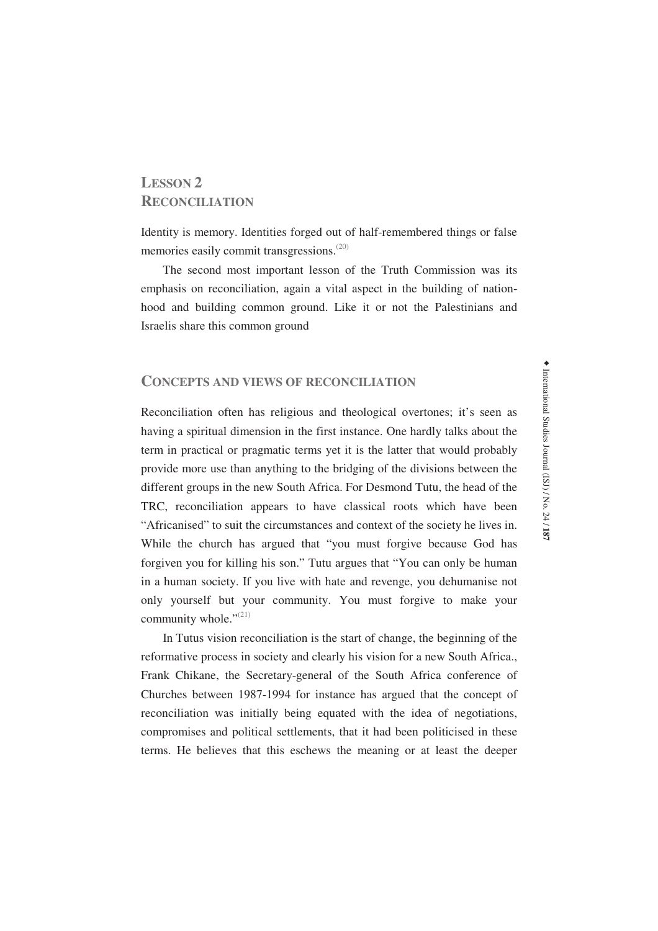# **LESSON 2 RECONCILIATION**

Identity is memory. Identities forged out of half-remembered things or false memories easily commit transgressions. $(20)$ 

The second most important lesson of the Truth Commission was its emphasis on reconciliation, again a vital aspect in the building of nationhood and building common ground. Like it or not the Palestinians and Israelis share this common ground

#### **CONCEPTS AND VIEWS OF RECONCILIATION**

Reconciliation often has religious and theological overtones; it's seen as having a spiritual dimension in the first instance. One hardly talks about the term in practical or pragmatic terms yet it is the latter that would probably provide more use than anything to the bridging of the divisions between the different groups in the new South Africa. For Desmond Tutu, the head of the TRC, reconciliation appears to have classical roots which have been "Africanised" to suit the circumstances and context of the society he lives in. While the church has argued that "you must forgive because God has forgiven you for killing his son." Tutu argues that "You can only be human in a human society. If you live with hate and revenge, you dehumanise not only yourself but your community. You must forgive to make your community whole."<sup>(21)</sup>

In Tutus vision reconciliation is the start of change, the beginning of the reformative process in society and clearly his vision for a new South Africa., Frank Chikane, the Secretary-general of the South Africa conference of Churches between 1987-1994 for instance has argued that the concept of reconciliation was initially being equated with the idea of negotiations, compromises and political settlements, that it had been politicised in these terms. He believes that this eschews the meaning or at least the deeper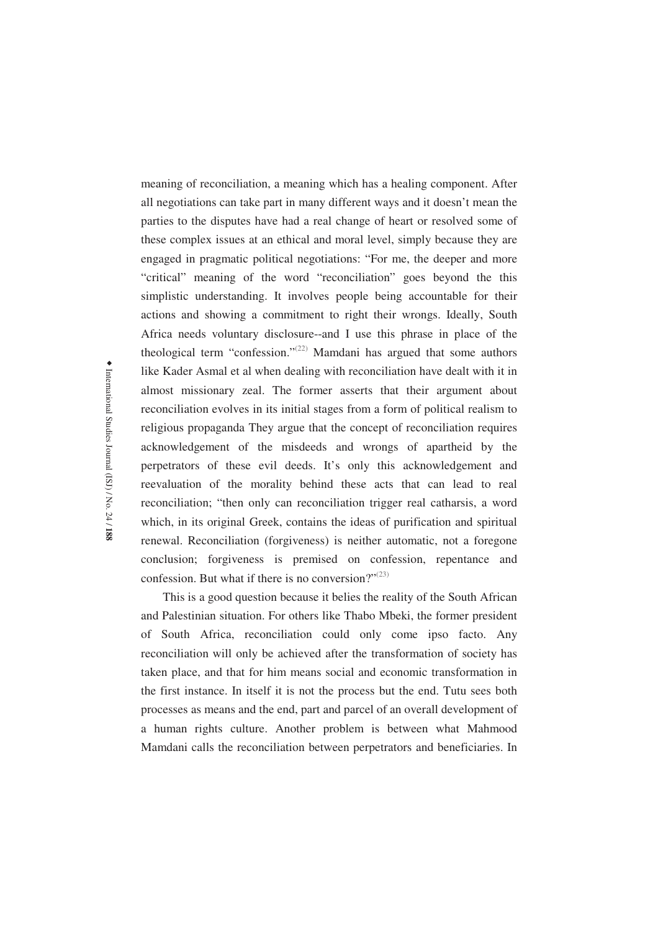٠

meaning of reconciliation, a meaning which has a healing component. After all negotiations can take part in many different ways and it doesn't mean the parties to the disputes have had a real change of heart or resolved some of these complex issues at an ethical and moral level, simply because they are engaged in pragmatic political negotiations: "For me, the deeper and more "critical" meaning of the word "reconciliation" goes beyond the this simplistic understanding. It involves people being accountable for their actions and showing a commitment to right their wrongs. Ideally, South Africa needs voluntary disclosure--and I use this phrase in place of the theological term "confession."<sup> $(22)$ </sup> Mamdani has argued that some authors like Kader Asmal et al when dealing with reconciliation have dealt with it in almost missionary zeal. The former asserts that their argument about reconciliation evolves in its initial stages from a form of political realism to religious propaganda They argue that the concept of reconciliation requires acknowledgement of the misdeeds and wrongs of apartheid by the perpetrators of these evil deeds. It's only this acknowledgement and reevaluation of the morality behind these acts that can lead to real reconciliation; "then only can reconciliation trigger real catharsis, a word which, in its original Greek, contains the ideas of purification and spiritual renewal. Reconciliation (forgiveness) is neither automatic, not a foregone conclusion; forgiveness is premised on confession, repentance and confession. But what if there is no conversion?" $^{(23)}$ 

This is a good question because it belies the reality of the South African and Palestinian situation. For others like Thabo Mbeki, the former president of South Africa, reconciliation could only come ipso facto. Any reconciliation will only be achieved after the transformation of society has taken place, and that for him means social and economic transformation in the first instance. In itself it is not the process but the end. Tutu sees both processes as means and the end, part and parcel of an overall development of a human rights culture. Another problem is between what Mahmood Mamdani calls the reconciliation between perpetrators and beneficiaries. In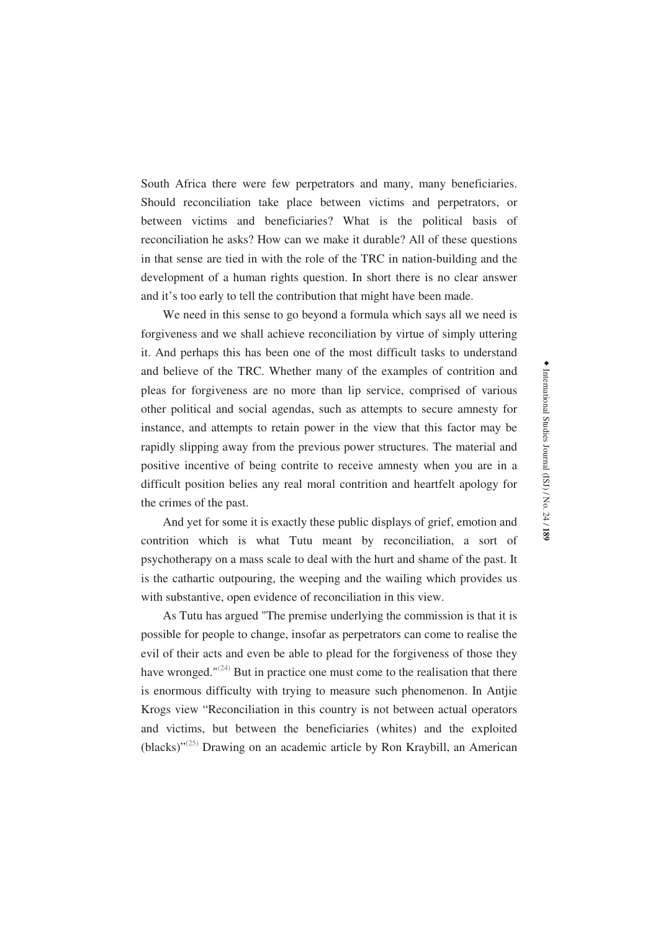South Africa there were few perpetrators and many, many beneficiaries. Should reconciliation take place between victims and perpetrators, or between victims and beneficiaries? What is the political basis of reconciliation he asks? How can we make it durable? All of these questions in that sense are tied in with the role of the TRC in nation-building and the development of a human rights question. In short there is no clear answer and it's too early to tell the contribution that might have been made.

We need in this sense to go beyond a formula which says all we need is forgiveness and we shall achieve reconciliation by virtue of simply uttering it. And perhaps this has been one of the most difficult tasks to understand and believe of the TRC. Whether many of the examples of contrition and pleas for forgiveness are no more than lip service, comprised of various other political and social agendas, such as attempts to secure amnesty for instance, and attempts to retain power in the view that this factor may be rapidly slipping away from the previous power structures. The material and positive incentive of being contrite to receive amnesty when you are in a difficult position belies any real moral contrition and heartfelt apology for the crimes of the past.

And yet for some it is exactly these public displays of grief, emotion and contrition which is what Tutu meant by reconciliation, a sort of psychotherapy on a mass scale to deal with the hurt and shame of the past. It is the cathartic outpouring, the weeping and the wailing which provides us with substantive, open evidence of reconciliation in this view.

As Tutu has argued "The premise underlying the commission is that it is possible for people to change, insofar as perpetrators can come to realise the evil of their acts and even be able to plead for the forgiveness of those they have wronged." $(24)$  But in practice one must come to the realisation that there is enormous difficulty with trying to measure such phenomenon. In Antjie Krogs view "Reconciliation in this country is not between actual operators and victims, but between the beneficiaries (whites) and the exploited (blacks)"(25) Drawing on an academic article by Ron Kraybill, an American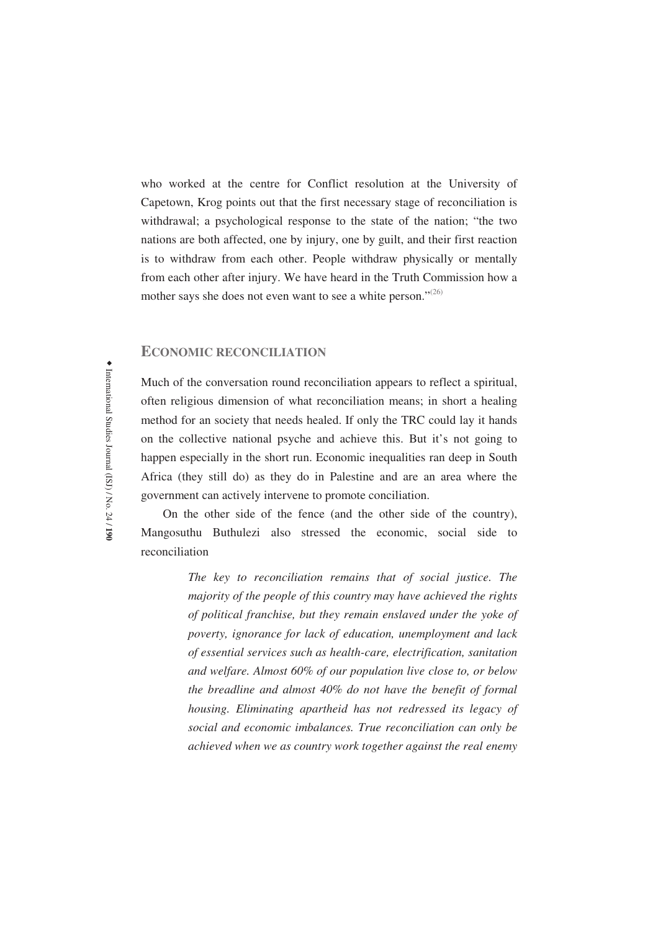who worked at the centre for Conflict resolution at the University of Capetown, Krog points out that the first necessary stage of reconciliation is withdrawal; a psychological response to the state of the nation; "the two nations are both affected, one by injury, one by guilt, and their first reaction is to withdraw from each other. People withdraw physically or mentally from each other after injury. We have heard in the Truth Commission how a mother says she does not even want to see a white person."<sup>(26)</sup>

#### **ECONOMIC RECONCILIATION**

Much of the conversation round reconciliation appears to reflect a spiritual, often religious dimension of what reconciliation means; in short a healing method for an society that needs healed. If only the TRC could lay it hands on the collective national psyche and achieve this. But it's not going to happen especially in the short run. Economic inequalities ran deep in South Africa (they still do) as they do in Palestine and are an area where the government can actively intervene to promote conciliation.

On the other side of the fence (and the other side of the country), Mangosuthu Buthulezi also stressed the economic, social side to reconciliation

> *The key to reconciliation remains that of social justice. The majority of the people of this country may have achieved the rights of political franchise, but they remain enslaved under the yoke of poverty, ignorance for lack of education, unemployment and lack of essential services such as health-care, electrification, sanitation and welfare. Almost 60% of our population live close to, or below the breadline and almost 40% do not have the benefit of formal housing. Eliminating apartheid has not redressed its legacy of social and economic imbalances. True reconciliation can only be achieved when we as country work together against the real enemy*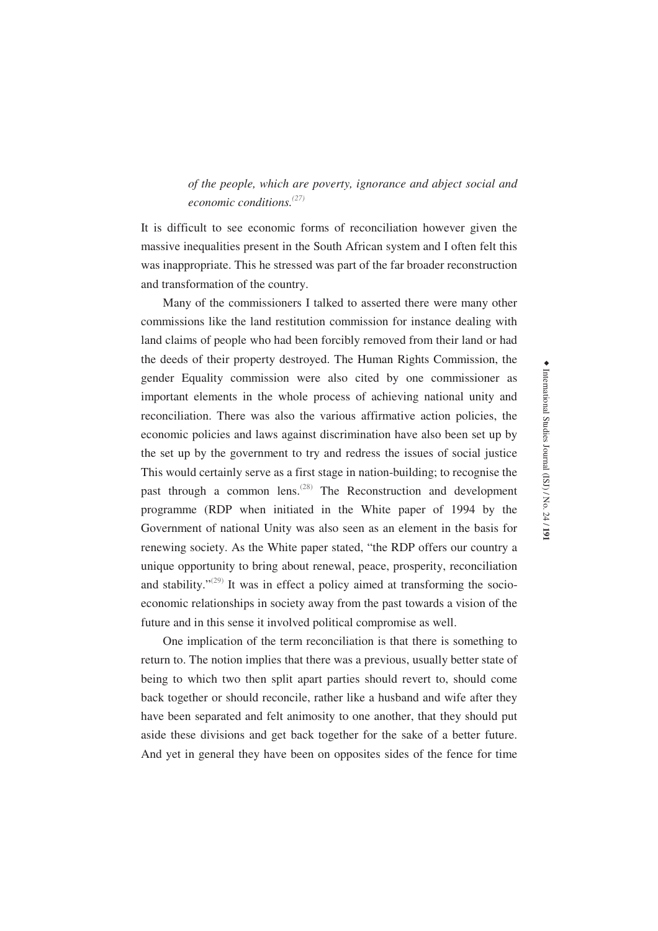# *of the people, which are poverty, ignorance and abject social and economic conditions.(27)*

It is difficult to see economic forms of reconciliation however given the massive inequalities present in the South African system and I often felt this was inappropriate. This he stressed was part of the far broader reconstruction and transformation of the country.

Many of the commissioners I talked to asserted there were many other commissions like the land restitution commission for instance dealing with land claims of people who had been forcibly removed from their land or had the deeds of their property destroyed. The Human Rights Commission, the gender Equality commission were also cited by one commissioner as important elements in the whole process of achieving national unity and reconciliation. There was also the various affirmative action policies, the economic policies and laws against discrimination have also been set up by the set up by the government to try and redress the issues of social justice This would certainly serve as a first stage in nation-building; to recognise the past through a common lens.<sup> $(28)$ </sup> The Reconstruction and development programme (RDP when initiated in the White paper of 1994 by the Government of national Unity was also seen as an element in the basis for renewing society. As the White paper stated, "the RDP offers our country a unique opportunity to bring about renewal, peace, prosperity, reconciliation and stability."<sup>(29)</sup> It was in effect a policy aimed at transforming the socioeconomic relationships in society away from the past towards a vision of the future and in this sense it involved political compromise as well.

One implication of the term reconciliation is that there is something to return to. The notion implies that there was a previous, usually better state of being to which two then split apart parties should revert to, should come back together or should reconcile, rather like a husband and wife after they have been separated and felt animosity to one another, that they should put aside these divisions and get back together for the sake of a better future. And yet in general they have been on opposites sides of the fence for time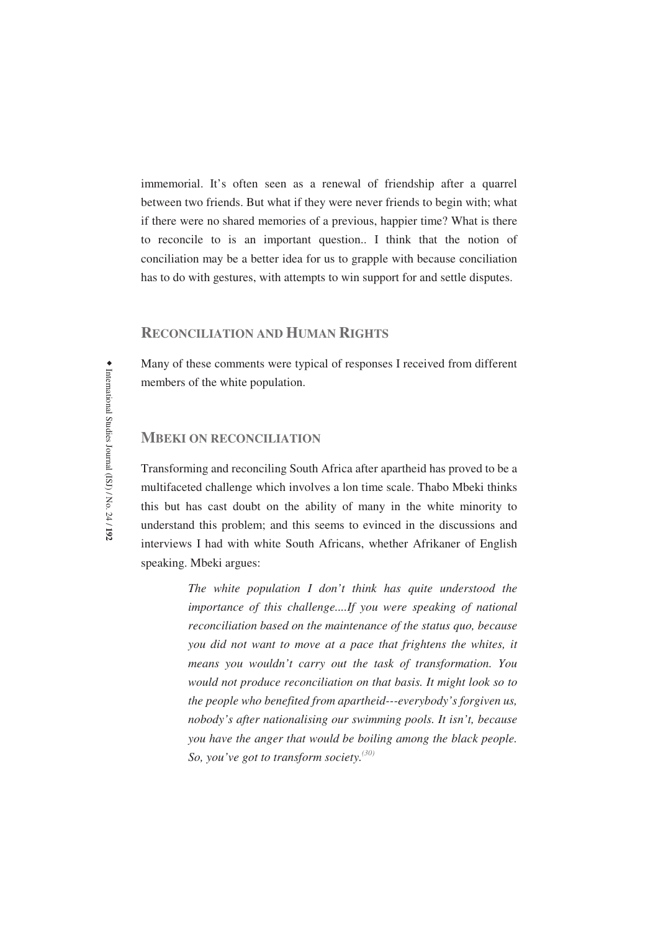immemorial. It's often seen as a renewal of friendship after a quarrel between two friends. But what if they were never friends to begin with; what if there were no shared memories of a previous, happier time? What is there to reconcile to is an important question.. I think that the notion of conciliation may be a better idea for us to grapple with because conciliation has to do with gestures, with attempts to win support for and settle disputes.

# **RECONCILIATION AND HUMAN RIGHTS**

Many of these comments were typical of responses I received from different members of the white population.

#### **MBEKI ON RECONCILIATION**

Transforming and reconciling South Africa after apartheid has proved to be a multifaceted challenge which involves a lon time scale. Thabo Mbeki thinks this but has cast doubt on the ability of many in the white minority to understand this problem; and this seems to evinced in the discussions and interviews I had with white South Africans, whether Afrikaner of English speaking. Mbeki argues:

> *The white population I don't think has quite understood the importance of this challenge....If you were speaking of national reconciliation based on the maintenance of the status quo, because you did not want to move at a pace that frightens the whites, it means you wouldn't carry out the task of transformation. You would not produce reconciliation on that basis. It might look so to the people who benefited from apartheid---everybody's forgiven us, nobody's after nationalising our swimming pools. It isn't, because you have the anger that would be boiling among the black people. So, you've got to transform society.(30)*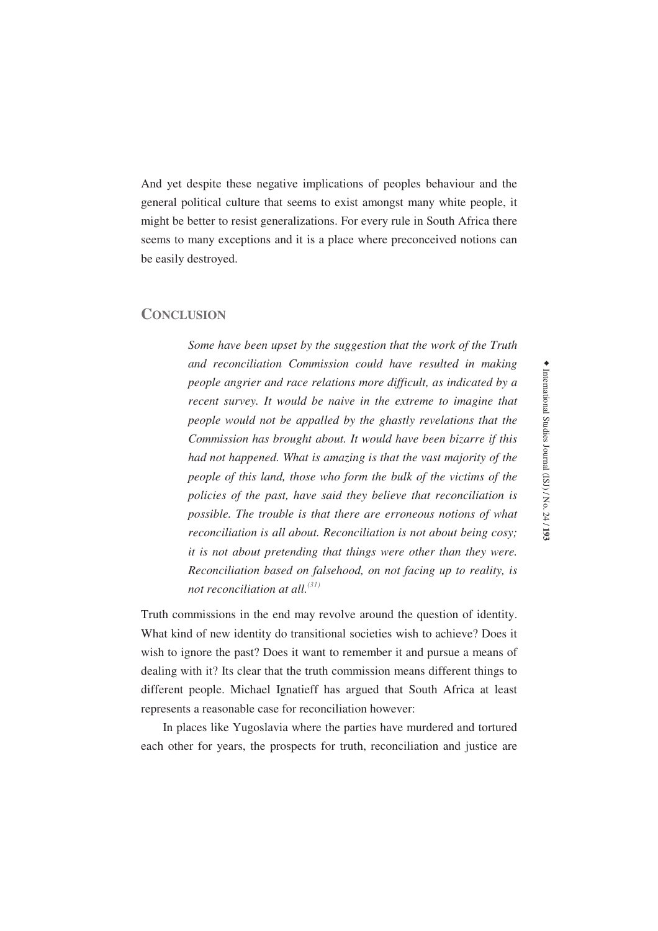And yet despite these negative implications of peoples behaviour and the general political culture that seems to exist amongst many white people, it might be better to resist generalizations. For every rule in South Africa there seems to many exceptions and it is a place where preconceived notions can be easily destroyed.

#### **CONCLUSION**

*Some have been upset by the suggestion that the work of the Truth and reconciliation Commission could have resulted in making people angrier and race relations more difficult, as indicated by a recent survey. It would be naive in the extreme to imagine that people would not be appalled by the ghastly revelations that the Commission has brought about. It would have been bizarre if this had not happened. What is amazing is that the vast majority of the people of this land, those who form the bulk of the victims of the policies of the past, have said they believe that reconciliation is possible. The trouble is that there are erroneous notions of what reconciliation is all about. Reconciliation is not about being cosy; it is not about pretending that things were other than they were. Reconciliation based on falsehood, on not facing up to reality, is not reconciliation at all.(31)*

Truth commissions in the end may revolve around the question of identity. What kind of new identity do transitional societies wish to achieve? Does it wish to ignore the past? Does it want to remember it and pursue a means of dealing with it? Its clear that the truth commission means different things to different people. Michael Ignatieff has argued that South Africa at least represents a reasonable case for reconciliation however:

In places like Yugoslavia where the parties have murdered and tortured each other for years, the prospects for truth, reconciliation and justice are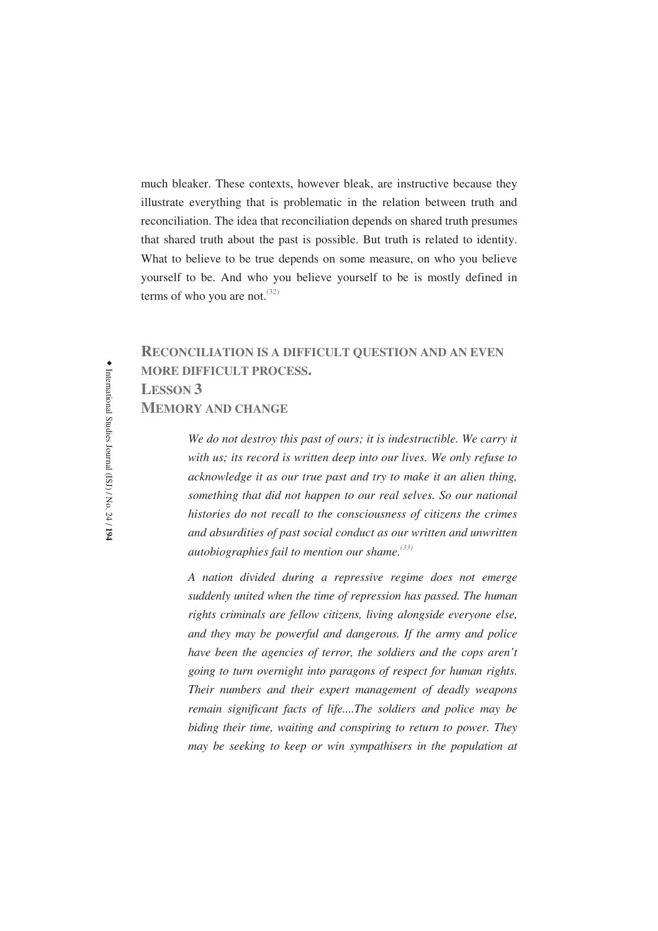much bleaker. These contexts, however bleak, are instructive because they illustrate everything that is problematic in the relation between truth and reconciliation. The idea that reconciliation depends on shared truth presumes that shared truth about the past is possible. But truth is related to identity. What to believe to be true depends on some measure, on who you believe yourself to be. And who you believe yourself to be is mostly defined in terms of who you are not.<sup>(32)</sup>

# **RECONCILIATION IS A DIFFICULT QUESTION AND AN EVEN MORE DIFFICULT PROCESS. LESSON 3 MEMORY AND CHANGE**

*We do not destroy this past of ours; it is indestructible. We carry it with us; its record is written deep into our lives. We only refuse to acknowledge it as our true past and try to make it an alien thing, something that did not happen to our real selves. So our national histories do not recall to the consciousness of citizens the crimes and absurdities of past social conduct as our written and unwritten autobiographies fail to mention our shame.(33)*

*A nation divided during a repressive regime does not emerge suddenly united when the time of repression has passed. The human rights criminals are fellow citizens, living alongside everyone else, and they may be powerful and dangerous. If the army and police have been the agencies of terror, the soldiers and the cops aren't going to turn overnight into paragons of respect for human rights. Their numbers and their expert management of deadly weapons remain significant facts of life....The soldiers and police may be biding their time, waiting and conspiring to return to power. They may be seeking to keep or win sympathisers in the population at*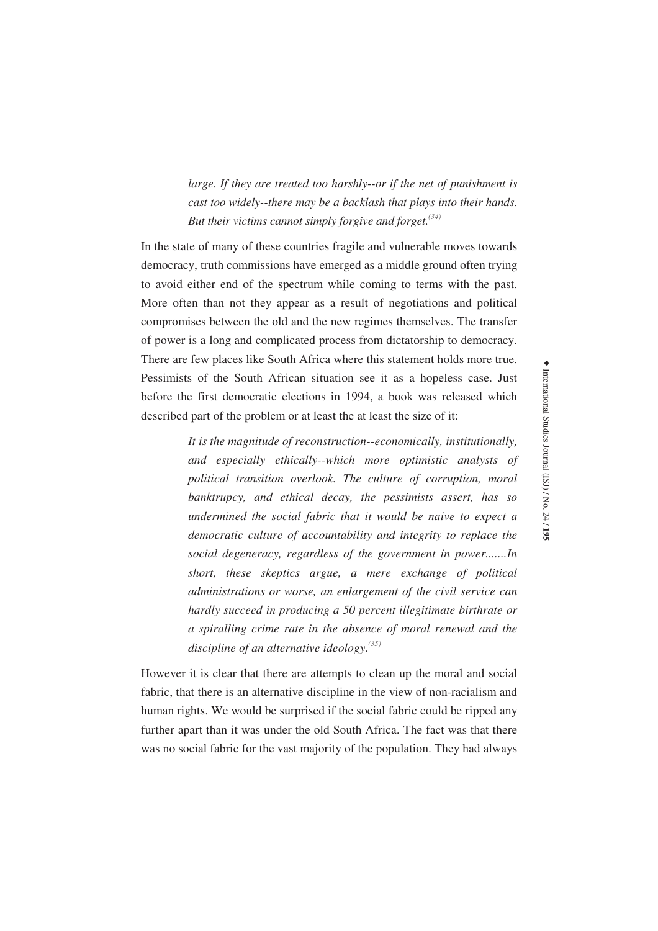*large. If they are treated too harshly--or if the net of punishment is cast too widely--there may be a backlash that plays into their hands. But their victims cannot simply forgive and forget.(34)*

In the state of many of these countries fragile and vulnerable moves towards democracy, truth commissions have emerged as a middle ground often trying to avoid either end of the spectrum while coming to terms with the past. More often than not they appear as a result of negotiations and political compromises between the old and the new regimes themselves. The transfer of power is a long and complicated process from dictatorship to democracy. There are few places like South Africa where this statement holds more true. Pessimists of the South African situation see it as a hopeless case. Just before the first democratic elections in 1994, a book was released which described part of the problem or at least the at least the size of it:

> *It is the magnitude of reconstruction--economically, institutionally, and especially ethically--which more optimistic analysts of political transition overlook. The culture of corruption, moral banktrupcy, and ethical decay, the pessimists assert, has so undermined the social fabric that it would be naive to expect a democratic culture of accountability and integrity to replace the social degeneracy, regardless of the government in power.......In short, these skeptics argue, a mere exchange of political administrations or worse, an enlargement of the civil service can hardly succeed in producing a 50 percent illegitimate birthrate or a spiralling crime rate in the absence of moral renewal and the discipline of an alternative ideology.(35)*

However it is clear that there are attempts to clean up the moral and social fabric, that there is an alternative discipline in the view of non-racialism and human rights. We would be surprised if the social fabric could be ripped any further apart than it was under the old South Africa. The fact was that there was no social fabric for the vast majority of the population. They had always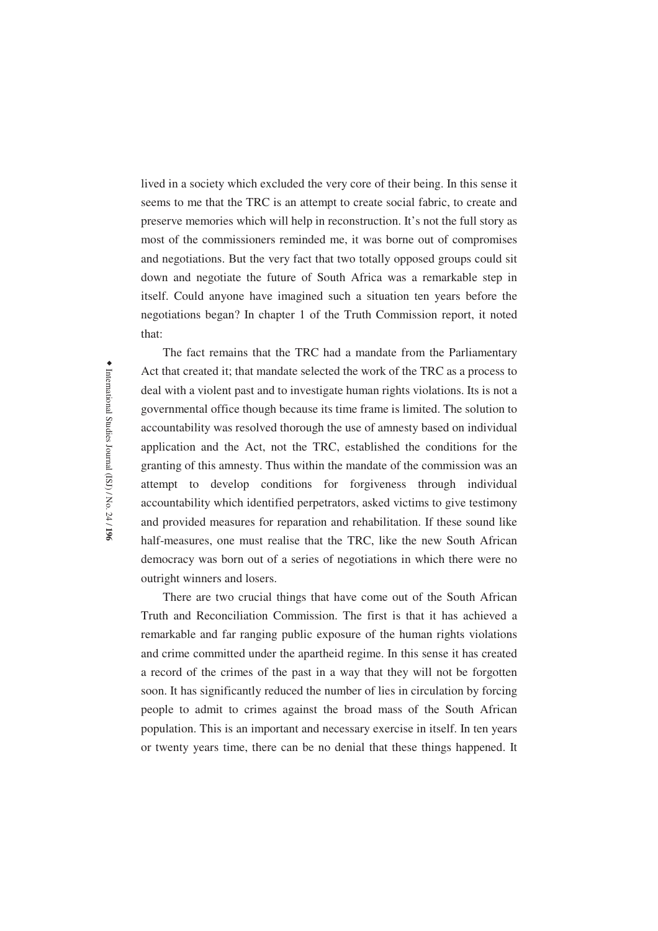lived in a society which excluded the very core of their being. In this sense it seems to me that the TRC is an attempt to create social fabric, to create and preserve memories which will help in reconstruction. It's not the full story as most of the commissioners reminded me, it was borne out of compromises and negotiations. But the very fact that two totally opposed groups could sit down and negotiate the future of South Africa was a remarkable step in itself. Could anyone have imagined such a situation ten years before the negotiations began? In chapter 1 of the Truth Commission report, it noted that:

The fact remains that the TRC had a mandate from the Parliamentary Act that created it; that mandate selected the work of the TRC as a process to deal with a violent past and to investigate human rights violations. Its is not a governmental office though because its time frame is limited. The solution to accountability was resolved thorough the use of amnesty based on individual application and the Act, not the TRC, established the conditions for the granting of this amnesty. Thus within the mandate of the commission was an attempt to develop conditions for forgiveness through individual accountability which identified perpetrators, asked victims to give testimony and provided measures for reparation and rehabilitation. If these sound like half-measures, one must realise that the TRC, like the new South African democracy was born out of a series of negotiations in which there were no outright winners and losers.

There are two crucial things that have come out of the South African Truth and Reconciliation Commission. The first is that it has achieved a remarkable and far ranging public exposure of the human rights violations and crime committed under the apartheid regime. In this sense it has created a record of the crimes of the past in a way that they will not be forgotten soon. It has significantly reduced the number of lies in circulation by forcing people to admit to crimes against the broad mass of the South African population. This is an important and necessary exercise in itself. In ten years or twenty years time, there can be no denial that these things happened. It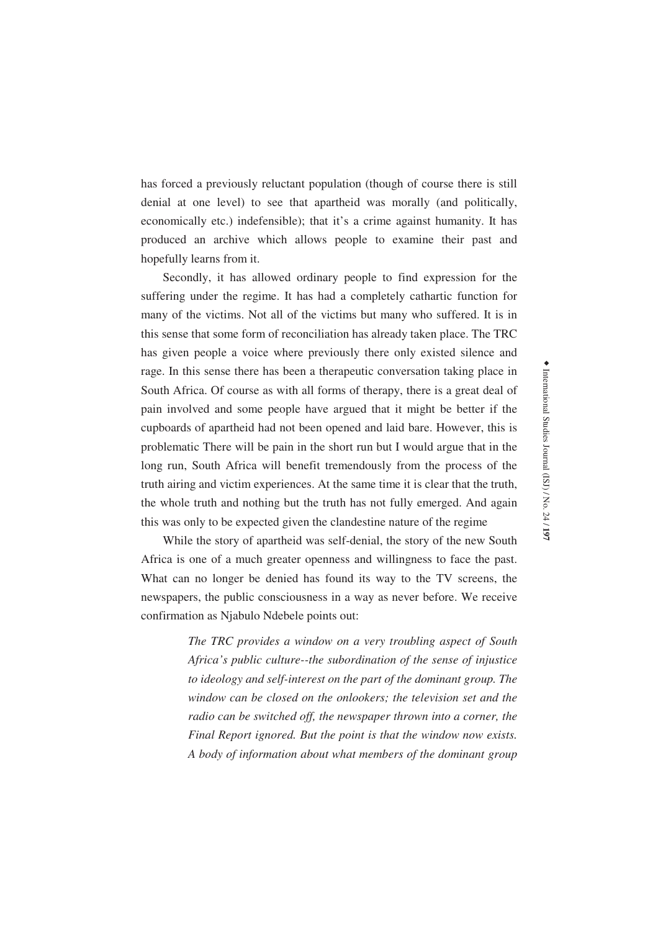has forced a previously reluctant population (though of course there is still denial at one level) to see that apartheid was morally (and politically, economically etc.) indefensible); that it's a crime against humanity. It has produced an archive which allows people to examine their past and hopefully learns from it.

Secondly, it has allowed ordinary people to find expression for the suffering under the regime. It has had a completely cathartic function for many of the victims. Not all of the victims but many who suffered. It is in this sense that some form of reconciliation has already taken place. The TRC has given people a voice where previously there only existed silence and rage. In this sense there has been a therapeutic conversation taking place in South Africa. Of course as with all forms of therapy, there is a great deal of pain involved and some people have argued that it might be better if the cupboards of apartheid had not been opened and laid bare. However, this is problematic There will be pain in the short run but I would argue that in the long run, South Africa will benefit tremendously from the process of the truth airing and victim experiences. At the same time it is clear that the truth, the whole truth and nothing but the truth has not fully emerged. And again this was only to be expected given the clandestine nature of the regime

While the story of apartheid was self-denial, the story of the new South Africa is one of a much greater openness and willingness to face the past. What can no longer be denied has found its way to the TV screens, the newspapers, the public consciousness in a way as never before. We receive confirmation as Njabulo Ndebele points out:

> *The TRC provides a window on a very troubling aspect of South Africa's public culture--the subordination of the sense of injustice to ideology and self-interest on the part of the dominant group. The window can be closed on the onlookers; the television set and the radio can be switched off, the newspaper thrown into a corner, the Final Report ignored. But the point is that the window now exists. A body of information about what members of the dominant group*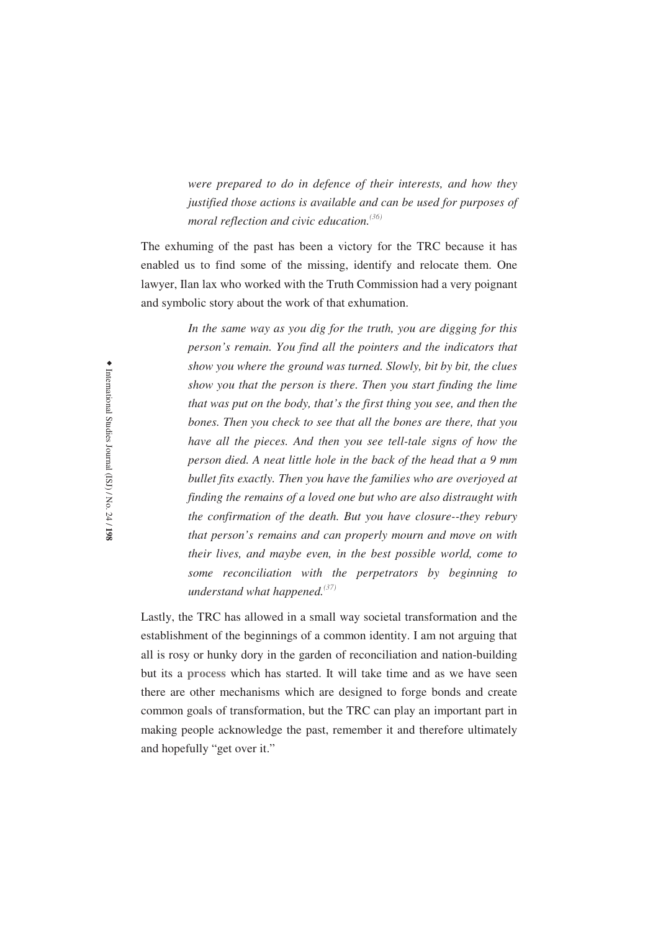*were prepared to do in defence of their interests, and how they justified those actions is available and can be used for purposes of moral reflection and civic education.(36)*

The exhuming of the past has been a victory for the TRC because it has enabled us to find some of the missing, identify and relocate them. One lawyer, Ilan lax who worked with the Truth Commission had a very poignant and symbolic story about the work of that exhumation.

> *In the same way as you dig for the truth, you are digging for this person's remain. You find all the pointers and the indicators that show you where the ground was turned. Slowly, bit by bit, the clues show you that the person is there. Then you start finding the lime that was put on the body, that's the first thing you see, and then the bones. Then you check to see that all the bones are there, that you have all the pieces. And then you see tell-tale signs of how the person died. A neat little hole in the back of the head that a 9 mm bullet fits exactly. Then you have the families who are overjoyed at finding the remains of a loved one but who are also distraught with the confirmation of the death. But you have closure--they rebury that person's remains and can properly mourn and move on with their lives, and maybe even, in the best possible world, come to some reconciliation with the perpetrators by beginning to understand what happened.(37)*

Lastly, the TRC has allowed in a small way societal transformation and the establishment of the beginnings of a common identity. I am not arguing that all is rosy or hunky dory in the garden of reconciliation and nation-building but its a **process** which has started. It will take time and as we have seen there are other mechanisms which are designed to forge bonds and create common goals of transformation, but the TRC can play an important part in making people acknowledge the past, remember it and therefore ultimately and hopefully "get over it."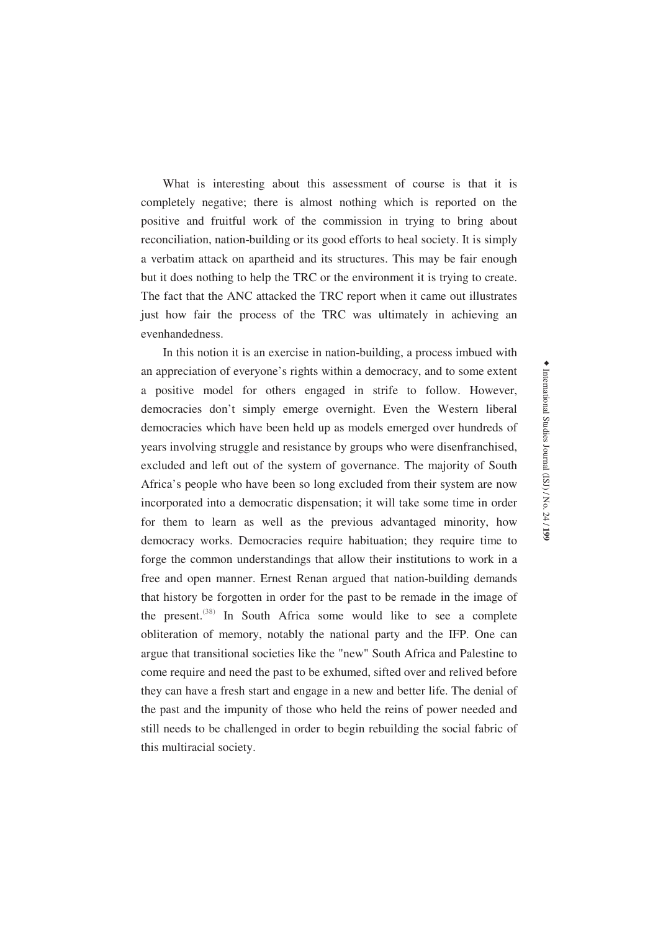What is interesting about this assessment of course is that it is completely negative; there is almost nothing which is reported on the positive and fruitful work of the commission in trying to bring about reconciliation, nation-building or its good efforts to heal society. It is simply a verbatim attack on apartheid and its structures. This may be fair enough but it does nothing to help the TRC or the environment it is trying to create. The fact that the ANC attacked the TRC report when it came out illustrates just how fair the process of the TRC was ultimately in achieving an evenhandedness.

In this notion it is an exercise in nation-building, a process imbued with an appreciation of everyone's rights within a democracy, and to some extent a positive model for others engaged in strife to follow. However, democracies don't simply emerge overnight. Even the Western liberal democracies which have been held up as models emerged over hundreds of years involving struggle and resistance by groups who were disenfranchised, excluded and left out of the system of governance. The majority of South Africa's people who have been so long excluded from their system are now incorporated into a democratic dispensation; it will take some time in order for them to learn as well as the previous advantaged minority, how democracy works. Democracies require habituation; they require time to forge the common understandings that allow their institutions to work in a free and open manner. Ernest Renan argued that nation-building demands that history be forgotten in order for the past to be remade in the image of the present.<sup>(38)</sup> In South Africa some would like to see a complete obliteration of memory, notably the national party and the IFP. One can argue that transitional societies like the "new" South Africa and Palestine to come require and need the past to be exhumed, sifted over and relived before they can have a fresh start and engage in a new and better life. The denial of the past and the impunity of those who held the reins of power needed and still needs to be challenged in order to begin rebuilding the social fabric of this multiracial society.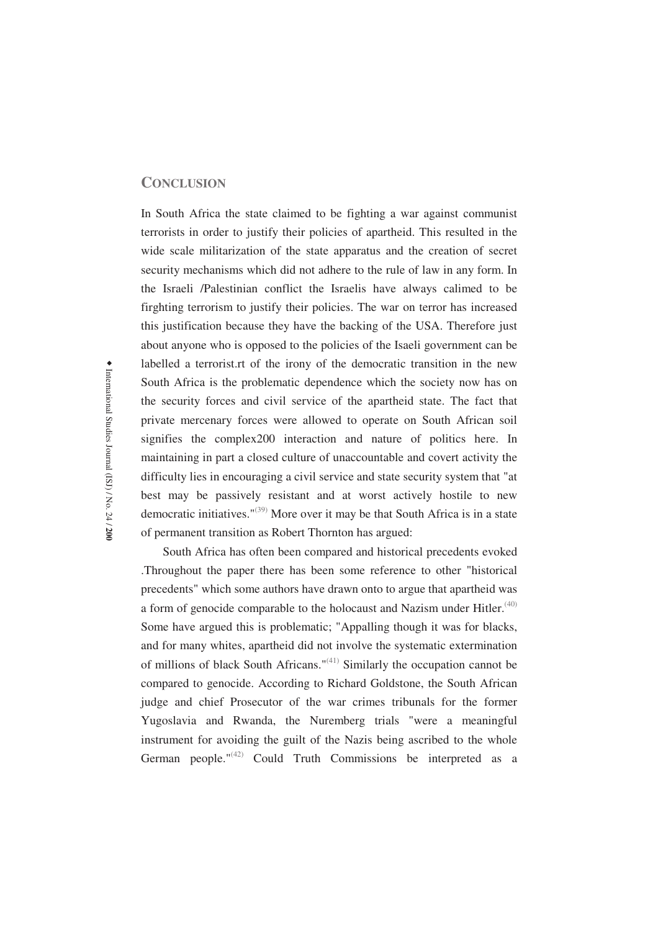### **CONCLUSION**

In South Africa the state claimed to be fighting a war against communist terrorists in order to justify their policies of apartheid. This resulted in the wide scale militarization of the state apparatus and the creation of secret security mechanisms which did not adhere to the rule of law in any form. In the Israeli /Palestinian conflict the Israelis have always calimed to be firghting terrorism to justify their policies. The war on terror has increased this justification because they have the backing of the USA. Therefore just about anyone who is opposed to the policies of the Isaeli government can be labelled a terrorist.rt of the irony of the democratic transition in the new South Africa is the problematic dependence which the society now has on the security forces and civil service of the apartheid state. The fact that private mercenary forces were allowed to operate on South African soil signifies the complex200 interaction and nature of politics here. In maintaining in part a closed culture of unaccountable and covert activity the difficulty lies in encouraging a civil service and state security system that "at best may be passively resistant and at worst actively hostile to new democratic initiatives."(39) More over it may be that South Africa is in a state of permanent transition as Robert Thornton has argued:

South Africa has often been compared and historical precedents evoked .Throughout the paper there has been some reference to other "historical precedents" which some authors have drawn onto to argue that apartheid was a form of genocide comparable to the holocaust and Nazism under Hitler.<sup>(40)</sup> Some have argued this is problematic; "Appalling though it was for blacks, and for many whites, apartheid did not involve the systematic extermination of millions of black South Africans."(41) Similarly the occupation cannot be compared to genocide. According to Richard Goldstone, the South African judge and chief Prosecutor of the war crimes tribunals for the former Yugoslavia and Rwanda, the Nuremberg trials "were a meaningful instrument for avoiding the guilt of the Nazis being ascribed to the whole German people." $(42)$  Could Truth Commissions be interpreted as a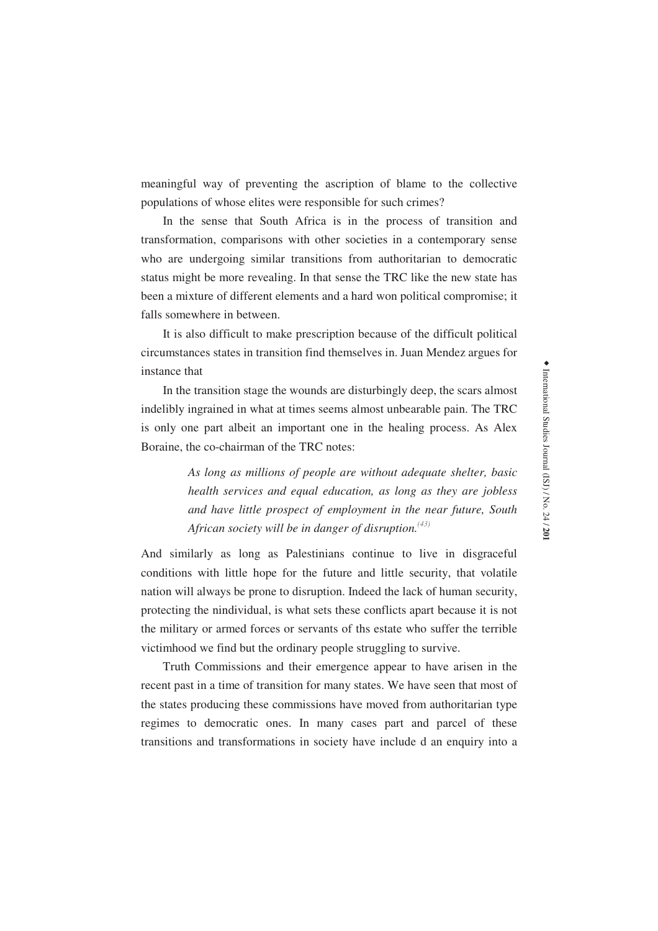meaningful way of preventing the ascription of blame to the collective populations of whose elites were responsible for such crimes?

In the sense that South Africa is in the process of transition and transformation, comparisons with other societies in a contemporary sense who are undergoing similar transitions from authoritarian to democratic status might be more revealing. In that sense the TRC like the new state has been a mixture of different elements and a hard won political compromise; it falls somewhere in between.

It is also difficult to make prescription because of the difficult political circumstances states in transition find themselves in. Juan Mendez argues for instance that

In the transition stage the wounds are disturbingly deep, the scars almost indelibly ingrained in what at times seems almost unbearable pain. The TRC is only one part albeit an important one in the healing process. As Alex Boraine, the co-chairman of the TRC notes:

> *As long as millions of people are without adequate shelter, basic health services and equal education, as long as they are jobless and have little prospect of employment in the near future, South African society will be in danger of disruption.(43)*

And similarly as long as Palestinians continue to live in disgraceful conditions with little hope for the future and little security, that volatile nation will always be prone to disruption. Indeed the lack of human security, protecting the nindividual, is what sets these conflicts apart because it is not the military or armed forces or servants of ths estate who suffer the terrible victimhood we find but the ordinary people struggling to survive.

Truth Commissions and their emergence appear to have arisen in the recent past in a time of transition for many states. We have seen that most of the states producing these commissions have moved from authoritarian type regimes to democratic ones. In many cases part and parcel of these transitions and transformations in society have include d an enquiry into a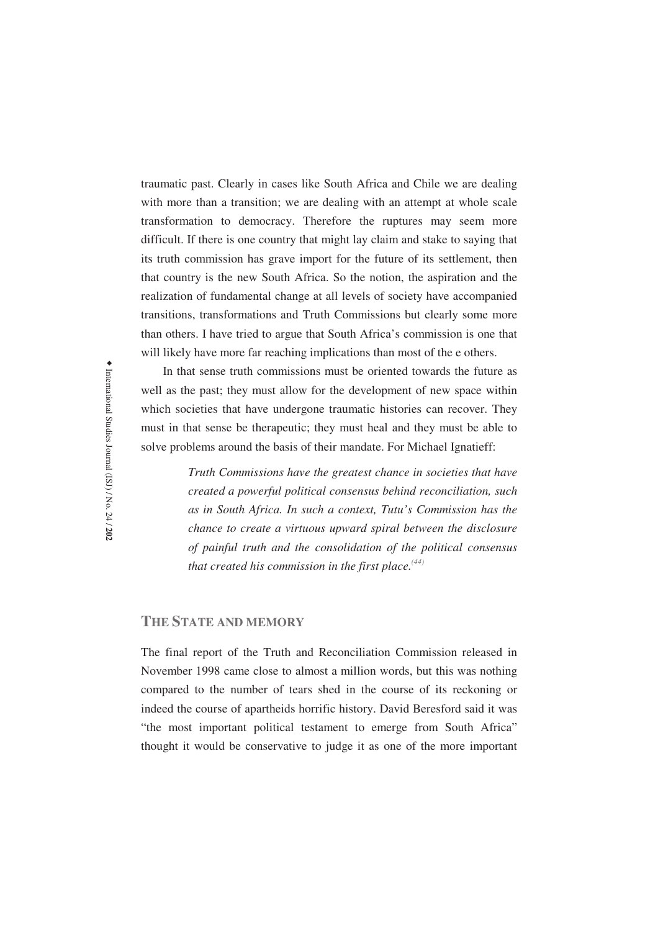traumatic past. Clearly in cases like South Africa and Chile we are dealing with more than a transition; we are dealing with an attempt at whole scale transformation to democracy. Therefore the ruptures may seem more difficult. If there is one country that might lay claim and stake to saying that its truth commission has grave import for the future of its settlement, then that country is the new South Africa. So the notion, the aspiration and the realization of fundamental change at all levels of society have accompanied transitions, transformations and Truth Commissions but clearly some more than others. I have tried to argue that South Africa's commission is one that will likely have more far reaching implications than most of the e others.

 International Studies Journal (ISJ) / No. 24 / **202**

٠

In that sense truth commissions must be oriented towards the future as well as the past; they must allow for the development of new space within which societies that have undergone traumatic histories can recover. They must in that sense be therapeutic; they must heal and they must be able to solve problems around the basis of their mandate. For Michael Ignatieff:

> *Truth Commissions have the greatest chance in societies that have created a powerful political consensus behind reconciliation, such as in South Africa. In such a context, Tutu's Commission has the chance to create a virtuous upward spiral between the disclosure of painful truth and the consolidation of the political consensus that created his commission in the first place.(44)*

## **THE STATE AND MEMORY**

The final report of the Truth and Reconciliation Commission released in November 1998 came close to almost a million words, but this was nothing compared to the number of tears shed in the course of its reckoning or indeed the course of apartheids horrific history. David Beresford said it was "the most important political testament to emerge from South Africa" thought it would be conservative to judge it as one of the more important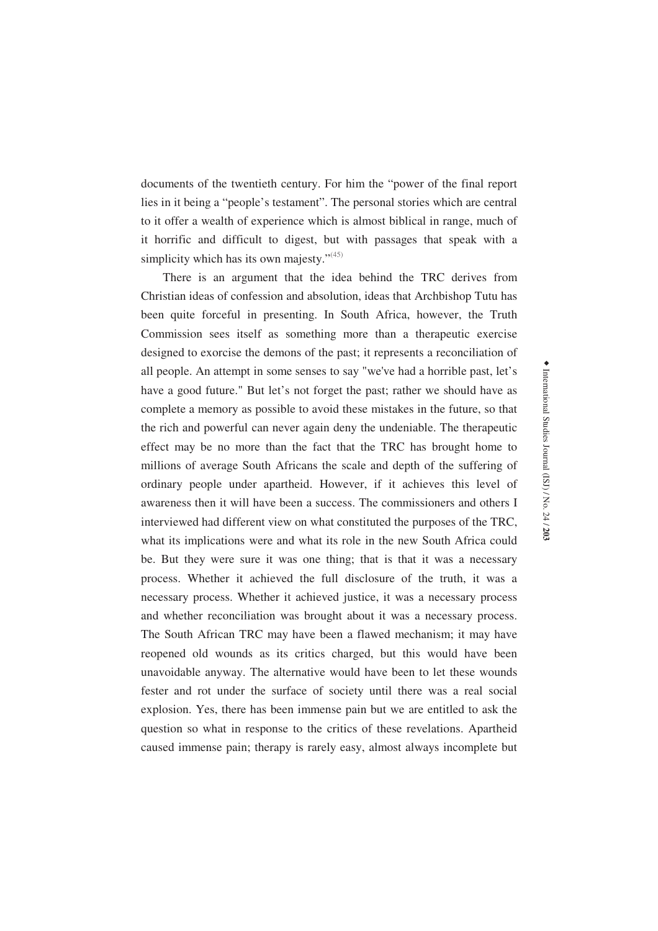documents of the twentieth century. For him the "power of the final report lies in it being a "people's testament". The personal stories which are central to it offer a wealth of experience which is almost biblical in range, much of it horrific and difficult to digest, but with passages that speak with a simplicity which has its own majesty." $(45)$ 

There is an argument that the idea behind the TRC derives from Christian ideas of confession and absolution, ideas that Archbishop Tutu has been quite forceful in presenting. In South Africa, however, the Truth Commission sees itself as something more than a therapeutic exercise designed to exorcise the demons of the past; it represents a reconciliation of all people. An attempt in some senses to say "we've had a horrible past, let's have a good future." But let's not forget the past; rather we should have as complete a memory as possible to avoid these mistakes in the future, so that the rich and powerful can never again deny the undeniable. The therapeutic effect may be no more than the fact that the TRC has brought home to millions of average South Africans the scale and depth of the suffering of ordinary people under apartheid. However, if it achieves this level of awareness then it will have been a success. The commissioners and others I interviewed had different view on what constituted the purposes of the TRC, what its implications were and what its role in the new South Africa could be. But they were sure it was one thing; that is that it was a necessary process. Whether it achieved the full disclosure of the truth, it was a necessary process. Whether it achieved justice, it was a necessary process and whether reconciliation was brought about it was a necessary process. The South African TRC may have been a flawed mechanism; it may have reopened old wounds as its critics charged, but this would have been unavoidable anyway. The alternative would have been to let these wounds fester and rot under the surface of society until there was a real social explosion. Yes, there has been immense pain but we are entitled to ask the question so what in response to the critics of these revelations. Apartheid caused immense pain; therapy is rarely easy, almost always incomplete but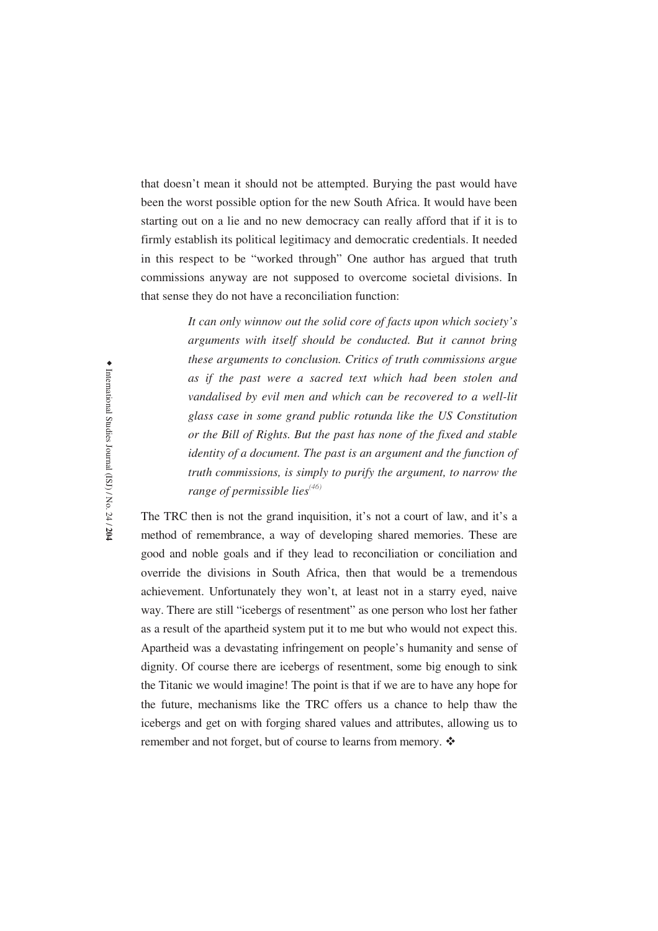that doesn't mean it should not be attempted. Burying the past would have been the worst possible option for the new South Africa. It would have been starting out on a lie and no new democracy can really afford that if it is to firmly establish its political legitimacy and democratic credentials. It needed in this respect to be "worked through" One author has argued that truth commissions anyway are not supposed to overcome societal divisions. In that sense they do not have a reconciliation function:

> *It can only winnow out the solid core of facts upon which society's arguments with itself should be conducted. But it cannot bring these arguments to conclusion. Critics of truth commissions argue as if the past were a sacred text which had been stolen and vandalised by evil men and which can be recovered to a well-lit glass case in some grand public rotunda like the US Constitution or the Bill of Rights. But the past has none of the fixed and stable identity of a document. The past is an argument and the function of truth commissions, is simply to purify the argument, to narrow the range of permissible lies(46)*

The TRC then is not the grand inquisition, it's not a court of law, and it's a method of remembrance, a way of developing shared memories. These are good and noble goals and if they lead to reconciliation or conciliation and override the divisions in South Africa, then that would be a tremendous achievement. Unfortunately they won't, at least not in a starry eyed, naive way. There are still "icebergs of resentment" as one person who lost her father as a result of the apartheid system put it to me but who would not expect this. Apartheid was a devastating infringement on people's humanity and sense of dignity. Of course there are icebergs of resentment, some big enough to sink the Titanic we would imagine! The point is that if we are to have any hope for the future, mechanisms like the TRC offers us a chance to help thaw the icebergs and get on with forging shared values and attributes, allowing us to remember and not forget, but of course to learns from memory.  $\mathbf{\hat{P}}$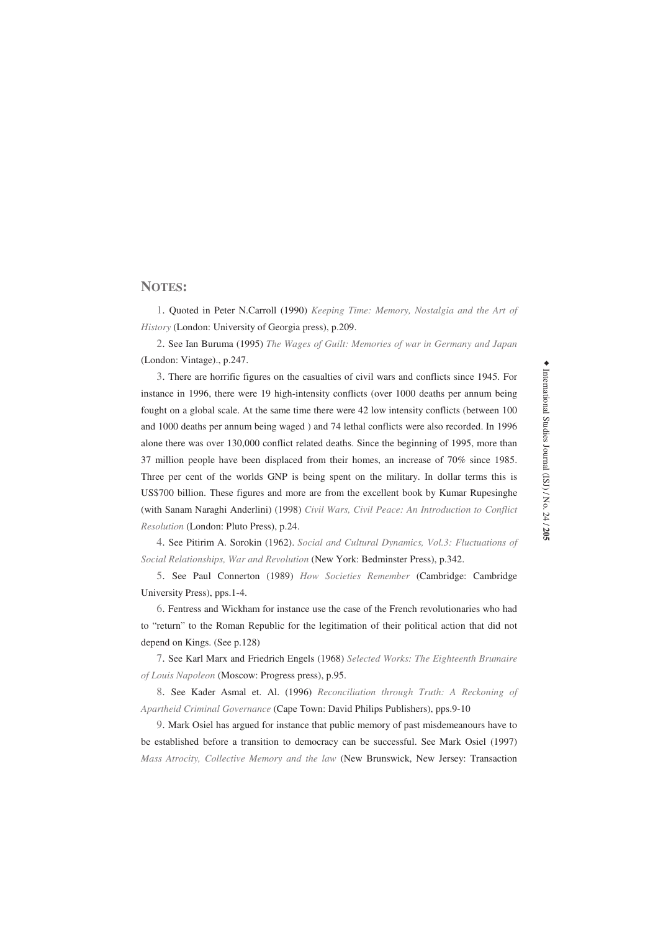#### **NOTES:**

1. Quoted in Peter N.Carroll (1990) *Keeping Time: Memory, Nostalgia and the Art of History* (London: University of Georgia press), p.209.

2. See Ian Buruma (1995) *The Wages of Guilt: Memories of war in Germany and Japan* (London: Vintage)., p.247.

3. There are horrific figures on the casualties of civil wars and conflicts since 1945. For instance in 1996, there were 19 high-intensity conflicts (over 1000 deaths per annum being fought on a global scale. At the same time there were 42 low intensity conflicts (between 100 and 1000 deaths per annum being waged ) and 74 lethal conflicts were also recorded. In 1996 alone there was over 130,000 conflict related deaths. Since the beginning of 1995, more than 37 million people have been displaced from their homes, an increase of 70% since 1985. Three per cent of the worlds GNP is being spent on the military. In dollar terms this is US\$700 billion. These figures and more are from the excellent book by Kumar Rupesinghe (with Sanam Naraghi Anderlini) (1998) *Civil Wars, Civil Peace: An Introduction to Conflict Resolution* (London: Pluto Press), p.24.

4. See Pitirim A. Sorokin (1962). *Social and Cultural Dynamics, Vol.3: Fluctuations of Social Relationships, War and Revolution* (New York: Bedminster Press), p.342.

5. See Paul Connerton (1989) *How Societies Remember* (Cambridge: Cambridge University Press), pps.1-4.

6. Fentress and Wickham for instance use the case of the French revolutionaries who had to "return" to the Roman Republic for the legitimation of their political action that did not depend on Kings. (See p.128)

7. See Karl Marx and Friedrich Engels (1968) *Selected Works: The Eighteenth Brumaire of Louis Napoleon* (Moscow: Progress press), p.95.

8. See Kader Asmal et. Al. (1996) *Reconciliation through Truth: A Reckoning of Apartheid Criminal Governance* (Cape Town: David Philips Publishers), pps.9-10

9. Mark Osiel has argued for instance that public memory of past misdemeanours have to be established before a transition to democracy can be successful. See Mark Osiel (1997) *Mass Atrocity, Collective Memory and the law* (New Brunswick, New Jersey: Transaction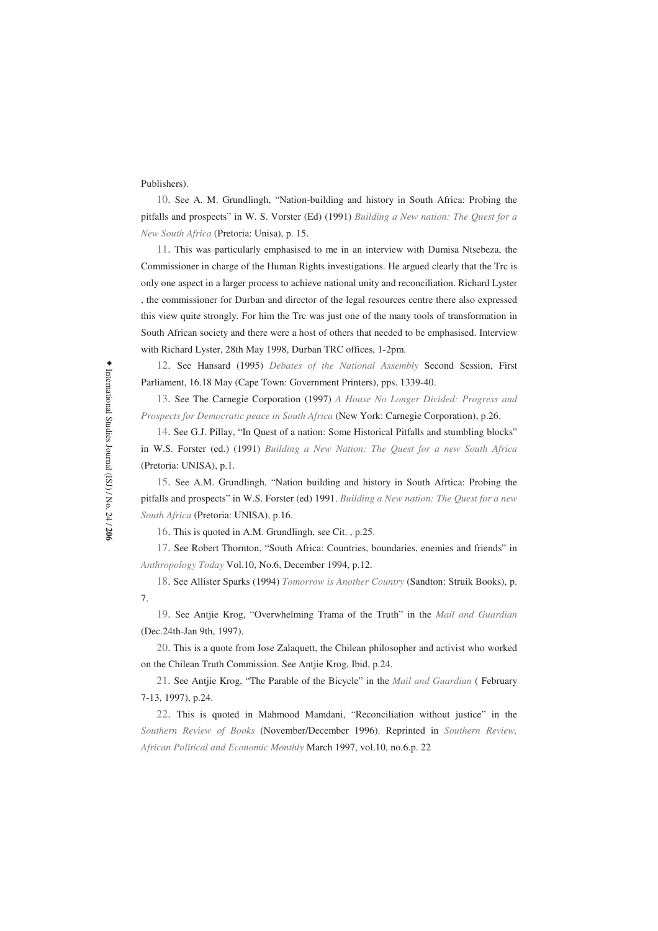Publishers).

10. See A. M. Grundlingh, "Nation-building and history in South Africa: Probing the pitfalls and prospects" in W. S. Vorster (Ed) (1991) *Building a New nation: The Quest for a New South Africa* (Pretoria: Unisa), p. 15.

11. This was particularly emphasised to me in an interview with Dumisa Ntsebeza, the Commissioner in charge of the Human Rights investigations. He argued clearly that the Trc is only one aspect in a larger process to achieve national unity and reconciliation. Richard Lyster , the commissioner for Durban and director of the legal resources centre there also expressed this view quite strongly. For him the Trc was just one of the many tools of transformation in South African society and there were a host of others that needed to be emphasised. Interview with Richard Lyster, 28th May 1998, Durban TRC offices, 1-2pm.

12. See Hansard (1995) *Debates of the National Assembly* Second Session, First Parliament, 16.18 May (Cape Town: Government Printers), pps. 1339-40.

13. See The Carnegie Corporation (1997) *A House No Longer Divided: Progress and Prospects for Democratic peace in South Africa* (New York: Carnegie Corporation), p.26.

14. See G.J. Pillay, "In Quest of a nation: Some Historical Pitfalls and stumbling blocks" in W.S. Forster (ed.) (1991) *Building a New Nation: The Quest for a new South Africa* (Pretoria: UNISA), p.1.

15. See A.M. Grundlingh, "Nation building and history in South Afrtica: Probing the pitfalls and prospects" in W.S. Forster (ed) 1991. *Building a New nation: The Quest for a new South Africa* (Pretoria: UNISA), p.16.

16. This is quoted in A.M. Grundlingh, see Cit. , p.25.

17. See Robert Thornton, "South Africa: Countries, boundaries, enemies and friends" in *Anthropology Today* Vol.10, No.6, December 1994, p.12.

18. See Allister Sparks (1994) *Tomorrow is Another Country* (Sandton: Struik Books), p. 7.

19. See Antjie Krog, "Overwhelming Trama of the Truth" in the *Mail and Guardian* (Dec.24th-Jan 9th, 1997).

20. This is a quote from Jose Zalaquett, the Chilean philosopher and activist who worked on the Chilean Truth Commission. See Antjie Krog, Ibid, p.24.

21. See Antjie Krog, "The Parable of the Bicycle" in the *Mail and Guardian* ( February 7-13, 1997), p.24.

22. This is quoted in Mahmood Mamdani, "Reconciliation without justice" in the *Southern Review of Books* (November/December 1996). Reprinted in *Southern Review, African Political and Economic Monthly* March 1997, vol.10, no.6.p. 22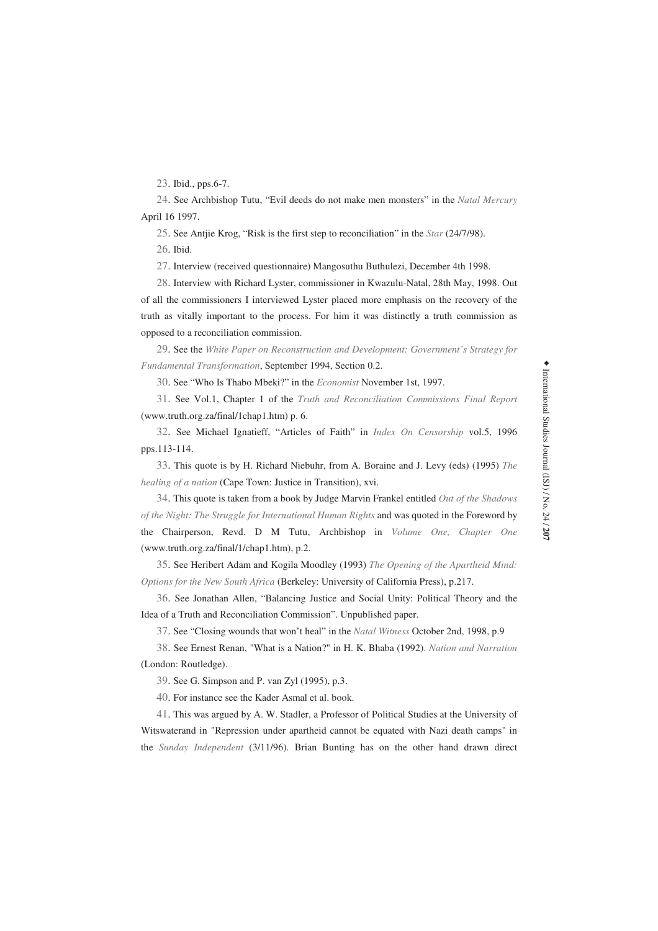23. Ibid., pps.6-7.

24. See Archbishop Tutu, "Evil deeds do not make men monsters" in the *Natal Mercury*  April 16 1997.

25. See Antjie Krog, "Risk is the first step to reconciliation" in the *Star* (24/7/98).

26. Ibid.

27. Interview (received questionnaire) Mangosuthu Buthulezi, December 4th 1998.

28. Interview with Richard Lyster, commissioner in Kwazulu-Natal, 28th May, 1998. Out of all the commissioners I interviewed Lyster placed more emphasis on the recovery of the truth as vitally important to the process. For him it was distinctly a truth commission as opposed to a reconciliation commission.

29. See the *White Paper on Reconstruction and Development: Government's Strategy for Fundamental Transformation*, September 1994, Section 0.2.

30. See "Who Is Thabo Mbeki?" in the *Economist* November 1st, 1997.

31. See Vol.1, Chapter 1 of the *Truth and Reconciliation Commissions Final Report*  (www.truth.org.za/final/1chap1.htm) p. 6.

32. See Michael Ignatieff, "Articles of Faith" in *Index On Censorship* vol.5, 1996 pps.113-114.

33. This quote is by H. Richard Niebuhr, from A. Boraine and J. Levy (eds) (1995) *The healing of a nation* (Cape Town: Justice in Transition), xvi.

34. This quote is taken from a book by Judge Marvin Frankel entitled *Out of the Shadows of the Night: The Struggle for International Human Rights* and was quoted in the Foreword by the Chairperson, Revd. D M Tutu, Archbishop in *Volume One, Chapter One* (www.truth.org.za/final/1/chap1.htm), p.2.

35. See Heribert Adam and Kogila Moodley (1993) *The Opening of the Apartheid Mind: Options for the New South Africa* (Berkeley: University of California Press), p.217.

36. See Jonathan Allen, "Balancing Justice and Social Unity: Political Theory and the Idea of a Truth and Reconciliation Commission". Unpublished paper.

37. See "Closing wounds that won't heal" in the *Natal Witness* October 2nd, 1998, p.9

38. See Ernest Renan, "What is a Nation?" in H. K. Bhaba (1992). *Nation and Narration*  (London: Routledge).

39. See G. Simpson and P. van Zyl (1995), p.3.

40. For instance see the Kader Asmal et al. book.

41. This was argued by A. W. Stadler, a Professor of Political Studies at the University of Witswaterand in "Repression under apartheid cannot be equated with Nazi death camps" in the *Sunday Independent* (3/11/96). Brian Bunting has on the other hand drawn direct